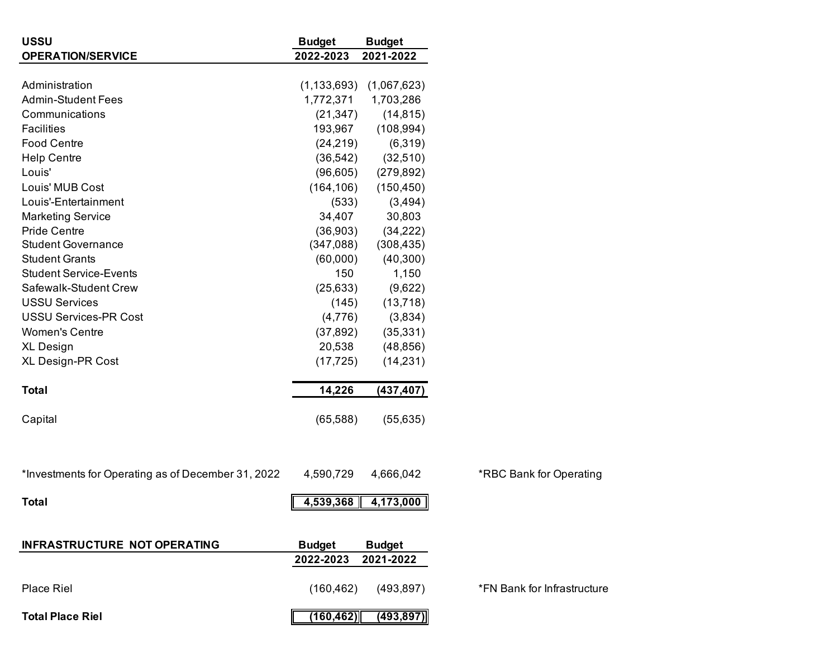| <b>USSU</b>                                        | <b>Budget</b> | <b>Budget</b>                   |                             |
|----------------------------------------------------|---------------|---------------------------------|-----------------------------|
| <b>OPERATION/SERVICE</b>                           | 2022-2023     | 2021-2022                       |                             |
|                                                    |               |                                 |                             |
| Administration                                     |               | $(1, 133, 693)$ $(1, 067, 623)$ |                             |
| <b>Admin-Student Fees</b>                          | 1,772,371     | 1,703,286                       |                             |
| Communications                                     | (21, 347)     | (14, 815)                       |                             |
| <b>Facilities</b>                                  | 193,967       | (108, 994)                      |                             |
| <b>Food Centre</b>                                 | (24, 219)     | (6,319)                         |                             |
| <b>Help Centre</b>                                 | (36, 542)     | (32,510)                        |                             |
| Louis'                                             | (96, 605)     | (279, 892)                      |                             |
| Louis' MUB Cost                                    | (164, 106)    | (150, 450)                      |                             |
| Louis'-Entertainment                               | (533)         | (3,494)                         |                             |
| <b>Marketing Service</b>                           | 34,407        | 30,803                          |                             |
| <b>Pride Centre</b>                                | (36,903)      | (34, 222)                       |                             |
| <b>Student Governance</b>                          | (347,088)     | (308, 435)                      |                             |
| <b>Student Grants</b>                              | (60,000)      | (40, 300)                       |                             |
| <b>Student Service-Events</b>                      | 150           | 1,150                           |                             |
| Safewalk-Student Crew                              | (25, 633)     | (9,622)                         |                             |
| <b>USSU Services</b>                               | (145)         | (13, 718)                       |                             |
| <b>USSU Services-PR Cost</b>                       | (4,776)       | (3,834)                         |                             |
| <b>Women's Centre</b>                              | (37, 892)     | (35, 331)                       |                             |
| <b>XL Design</b>                                   | 20,538        | (48, 856)                       |                             |
| <b>XL Design-PR Cost</b>                           | (17, 725)     | (14, 231)                       |                             |
| <b>Total</b>                                       | 14,226        | (437, 407)                      |                             |
| Capital                                            | (65, 588)     | (55, 635)                       |                             |
|                                                    |               |                                 |                             |
| *Investments for Operating as of December 31, 2022 | 4,590,729     | 4,666,042                       | *RBC Bank for Operating     |
| <b>Total</b>                                       |               | $4,539,368$ 4,173,000           |                             |
| <b>INFRASTRUCTURE NOT OPERATING</b>                | <b>Budget</b> | <b>Budget</b>                   |                             |
|                                                    | 2022-2023     | 2021-2022                       |                             |
| <b>Place Riel</b>                                  | (160, 462)    | (493, 897)                      | *FN Bank for Infrastructure |
| <b>Total Place Riel</b>                            | (160, 462)    | (493, 897)                      |                             |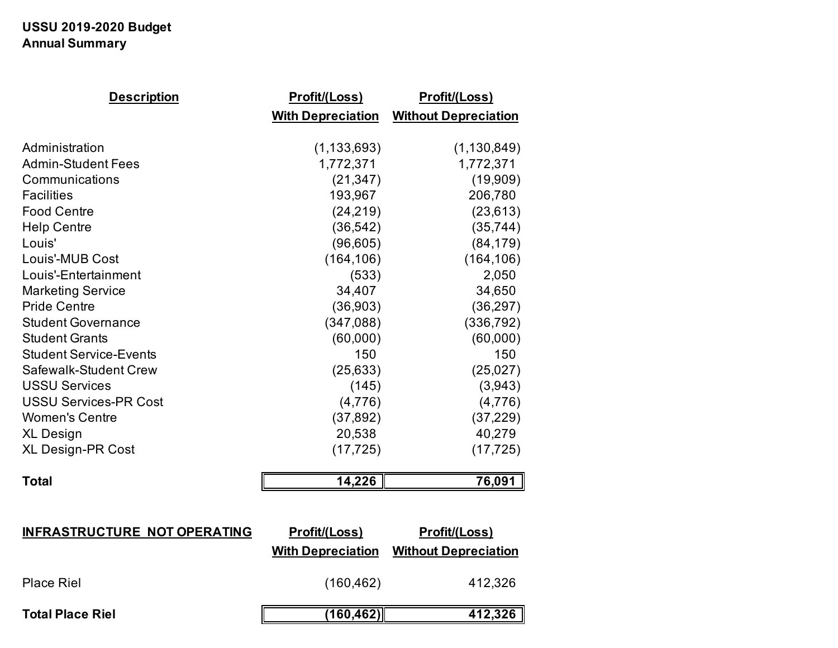# **USSU 2019-2020 Budget Annual Summary**

| <b>Description</b>            | <u>Profit/(Loss)</u>     | <u>Profit/(Loss)</u>        |
|-------------------------------|--------------------------|-----------------------------|
|                               | <b>With Depreciation</b> | <b>Without Depreciation</b> |
|                               |                          |                             |
| Administration                | (1, 133, 693)            | (1, 130, 849)               |
| <b>Admin-Student Fees</b>     | 1,772,371                | 1,772,371                   |
| Communications                | (21, 347)                | (19,909)                    |
| <b>Facilities</b>             | 193,967                  | 206,780                     |
| <b>Food Centre</b>            | (24, 219)                | (23, 613)                   |
| <b>Help Centre</b>            | (36, 542)                | (35, 744)                   |
| Louis'                        | (96, 605)                | (84, 179)                   |
| Louis'-MUB Cost               | (164, 106)               | (164, 106)                  |
| Louis'-Entertainment          | (533)                    | 2,050                       |
| <b>Marketing Service</b>      | 34,407                   | 34,650                      |
| <b>Pride Centre</b>           | (36, 903)                | (36, 297)                   |
| <b>Student Governance</b>     | (347,088)                | (336, 792)                  |
| <b>Student Grants</b>         | (60,000)                 | (60,000)                    |
| <b>Student Service-Events</b> | 150                      | 150                         |
| Safewalk-Student Crew         | (25, 633)                | (25,027)                    |
| <b>USSU Services</b>          | (145)                    | (3,943)                     |
| <b>USSU Services-PR Cost</b>  | (4,776)                  | (4,776)                     |
| <b>Women's Centre</b>         | (37, 892)                | (37, 229)                   |
| <b>XL Design</b>              | 20,538                   | 40,279                      |
| <b>XL Design-PR Cost</b>      | (17, 725)                | (17, 725)                   |
| <b>Total</b>                  | 14,226                   | 76,091                      |

| <b>INFRASTRUCTURE NOT OPERATING</b> | <u>Profit/(Loss)</u>     | <u>Profit/(Loss)</u>        |
|-------------------------------------|--------------------------|-----------------------------|
|                                     | <b>With Depreciation</b> | <b>Without Depreciation</b> |
| <b>Place Riel</b>                   | (160, 462)               | 412,326                     |
| <b>Total Place Riel</b>             | (160,462)                | 412,326                     |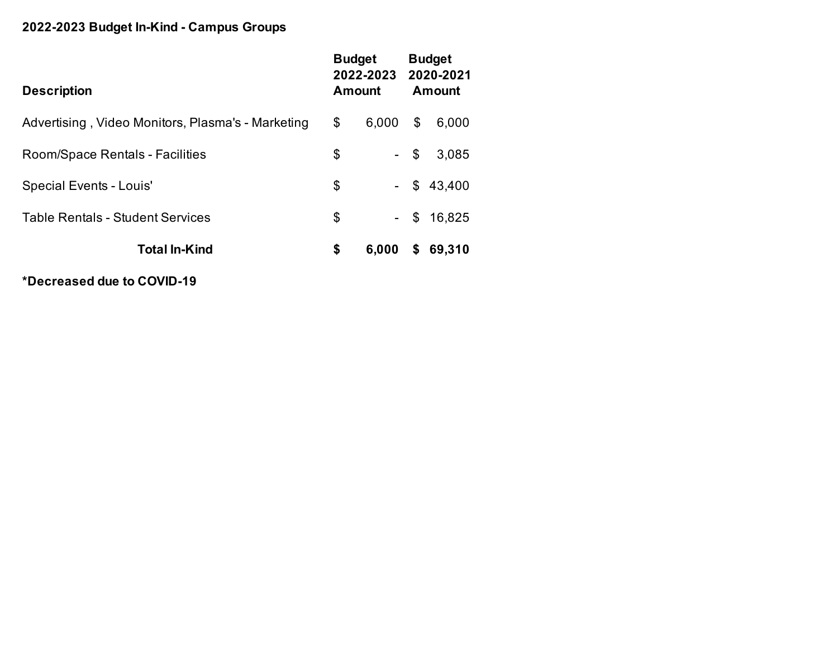# **2022-2023 Budget In-Kind - Campus Groups**

| <b>Description</b>                                | Amount | <b>Budget</b><br>2022-2023 2020-2021 |        | <b>Budget</b><br>Amount |
|---------------------------------------------------|--------|--------------------------------------|--------|-------------------------|
| Advertising, Video Monitors, Plasma's - Marketing | \$     | 6,000                                | \$     | 6,000                   |
| Room/Space Rentals - Facilities                   | \$     |                                      | $-$ \$ | 3,085                   |
| <b>Special Events - Louis'</b>                    | \$     | $\sim$ $-$                           | \$     | 43,400                  |
| <b>Table Rentals - Student Services</b>           | \$     | $\sim$ $-$                           | \$     | 16,825                  |
| <b>Total In-Kind</b>                              | \$     | 6,000                                | \$     | 69,310                  |

**\*Decreased due to COVID-19**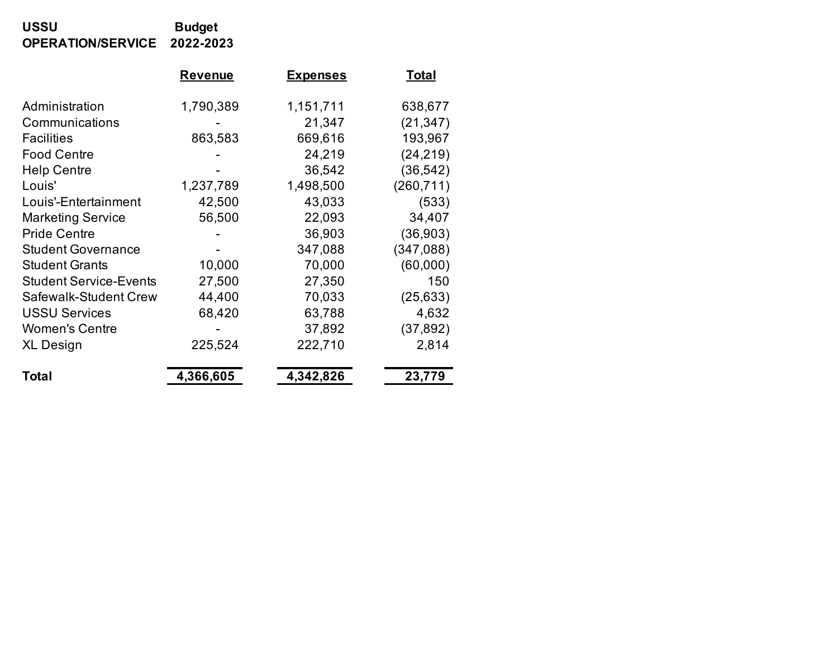## **USSU Budget OPERATION/SERVICE 2022-2023**

|                               | <b>Revenue</b> | <b>Expenses</b> | <b>Total</b> |
|-------------------------------|----------------|-----------------|--------------|
| Administration                | 1,790,389      | 1,151,711       | 638,677      |
| Communications                |                | 21,347          | (21, 347)    |
| <b>Facilities</b>             | 863,583        | 669,616         | 193,967      |
| <b>Food Centre</b>            |                | 24,219          | (24, 219)    |
| <b>Help Centre</b>            |                | 36,542          | (36, 542)    |
| Louis'                        | 1,237,789      | 1,498,500       | (260, 711)   |
| Louis'-Entertainment          | 42,500         | 43,033          | (533)        |
| <b>Marketing Service</b>      | 56,500         | 22,093          | 34,407       |
| <b>Pride Centre</b>           |                | 36,903          | (36, 903)    |
| <b>Student Governance</b>     |                | 347,088         | (347,088)    |
| <b>Student Grants</b>         | 10,000         | 70,000          | (60,000)     |
| <b>Student Service-Events</b> | 27,500         | 27,350          | 150          |
| Safewalk-Student Crew         | 44,400         | 70,033          | (25, 633)    |
| <b>USSU Services</b>          | 68,420         | 63,788          | 4,632        |
| <b>Women's Centre</b>         |                | 37,892          | (37, 892)    |
| <b>XL Design</b>              | 225,524        | 222,710         | 2,814        |
| Total                         | 4,366,605      | 4,342,826       | 23,779       |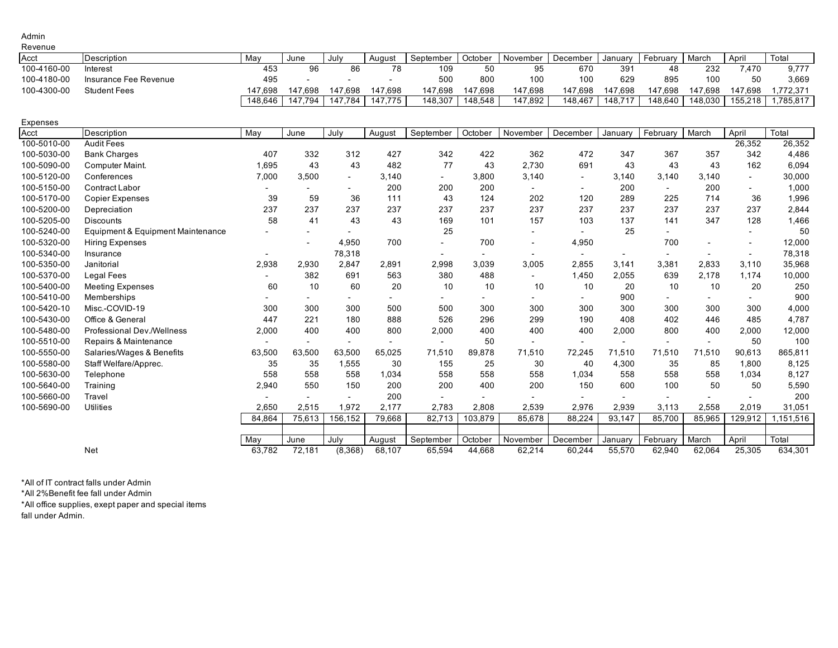#### Admin Revenue

| .           |                       |         |         |         |         |           |         |          |          |                 |          |         |         |          |
|-------------|-----------------------|---------|---------|---------|---------|-----------|---------|----------|----------|-----------------|----------|---------|---------|----------|
| Acct        | Description           | Mav     | June    | July    | Auaust  | September | October | November | December | Januarv         | Februarv | March   | April   | Total    |
| 100-4160-00 | Interest              | 453     |         | 86      |         | 109       | 50      | 95       | 670      | 39 <sup>7</sup> |          | 232     | 7.470   | 9.777    |
| 100-4180-00 | Insurance Fee Revenue | 495     |         |         |         | 500       | 800     | 100      | 100      | 629             | 895      | 100     | 50      | 3.669    |
| 100-4300-00 | <b>Student Fees</b>   | 147.698 | 147.698 | 147.698 | 147.698 | 147.698   | 147.698 | 147.698  | 147.698  | 147.698         | 147.698  | 147.698 | 147.698 | .772.371 |
|             |                       | 148,646 | 147.794 | 147.784 | 147.775 | 148,307   | 148,548 | 147,892  | 148.467  | 148,717         | 148,640  | 148,030 | 155,218 | ,785,817 |

| Expenses |  |  |
|----------|--|--|
|          |  |  |

| Acct        | Description                       | May    | June   | July                     | August                   | September                | October | November                 | December                 | January                  | February                 | March                    | April                    | Total     |
|-------------|-----------------------------------|--------|--------|--------------------------|--------------------------|--------------------------|---------|--------------------------|--------------------------|--------------------------|--------------------------|--------------------------|--------------------------|-----------|
| 100-5010-00 | <b>Audit Fees</b>                 |        |        |                          |                          |                          |         |                          |                          |                          |                          |                          | 26,352                   | 26,352    |
| 100-5030-00 | <b>Bank Charges</b>               | 407    | 332    | 312                      | 427                      | 342                      | 422     | 362                      | 472                      | 347                      | 367                      | 357                      | 342                      | 4,486     |
| 100-5090-00 | Computer Maint.                   | 1,695  | 43     | 43                       | 482                      | 77                       | 43      | 2,730                    | 691                      | 43                       | 43                       | 43                       | 162                      | 6,094     |
| 100-5120-00 | Conferences                       | 7,000  | 3,500  | $\overline{\phantom{0}}$ | 3,140                    | $\overline{\phantom{a}}$ | 3,800   | 3,140                    | $\sim$                   | 3,140                    | 3,140                    | 3.140                    | $\sim$                   | 30,000    |
| 100-5150-00 | <b>Contract Labor</b>             |        |        |                          | 200                      | 200                      | 200     |                          | $\overline{\phantom{a}}$ | 200                      | $\overline{a}$           | 200                      | $\sim$                   | 1,000     |
| 100-5170-00 | <b>Copier Expenses</b>            | 39     | 59     | 36                       | 111                      | 43                       | 124     | 202                      | 120                      | 289                      | 225                      | 714                      | 36                       | 1,996     |
| 100-5200-00 | Depreciation                      | 237    | 237    | 237                      | 237                      | 237                      | 237     | 237                      | 237                      | 237                      | 237                      | 237                      | 237                      | 2,844     |
| 100-5205-00 | Discounts                         | 58     | 41     | 43                       | 43                       | 169                      | 101     | 157                      | 103                      | 137                      | 141                      | 347                      | 128                      | 1,466     |
| 100-5240-00 | Equipment & Equipment Maintenance |        |        |                          |                          | 25                       |         |                          | $\overline{\phantom{a}}$ | 25                       |                          |                          |                          | 50        |
| 100-5320-00 | <b>Hiring Expenses</b>            |        |        | 4,950                    | 700                      |                          | 700     | $\overline{\phantom{a}}$ | 4,950                    |                          | 700                      |                          |                          | 12,000    |
| 100-5340-00 | Insurance                         |        |        | 78,318                   |                          | $\overline{\phantom{a}}$ |         | ۰                        | $\overline{\phantom{a}}$ | $\overline{\phantom{a}}$ | $\overline{\phantom{a}}$ | $\overline{\phantom{a}}$ | $\overline{\phantom{a}}$ | 78,318    |
| 100-5350-00 | Janitorial                        | 2,938  | 2,930  | 2,847                    | 2,891                    | 2,998                    | 3,039   | 3,005                    | 2,855                    | 3,141                    | 3,381                    | 2,833                    | 3,110                    | 35,968    |
| 100-5370-00 | <b>Legal Fees</b>                 |        | 382    | 691                      | 563                      | 380                      | 488     |                          | 1,450                    | 2,055                    | 639                      | 2,178                    | 1,174                    | 10,000    |
| 100-5400-00 | <b>Meeting Expenses</b>           | 60     | 10     | 60                       | 20                       | 10                       | 10      | 10                       | 10                       | 20                       | 10                       | 10                       | 20                       | 250       |
| 100-5410-00 | Memberships                       |        |        |                          |                          | $\overline{\phantom{a}}$ |         |                          |                          | 900                      |                          |                          |                          | 900       |
| 100-5420-10 | Misc.-COVID-19                    | 300    | 300    | 300                      | 500                      | 500                      | 300     | 300                      | 300                      | 300                      | 300                      | 300                      | 300                      | 4,000     |
| 100-5430-00 | Office & General                  | 447    | 221    | 180                      | 888                      | 526                      | 296     | 299                      | 190                      | 408                      | 402                      | 446                      | 485                      | 4,787     |
| 100-5480-00 | Professional Dev./Wellness        | 2,000  | 400    | 400                      | 800                      | 2,000                    | 400     | 400                      | 400                      | 2,000                    | 800                      | 400                      | 2,000                    | 12,000    |
| 100-5510-00 | Repairs & Maintenance             |        |        | $\overline{\phantom{0}}$ | $\overline{\phantom{0}}$ |                          | 50      |                          | $\sim$                   | $\overline{\phantom{a}}$ |                          | $\overline{\phantom{a}}$ | 50                       | 100       |
| 100-5550-00 | Salaries/Wages & Benefits         | 63,500 | 63,500 | 63,500                   | 65,025                   | 71,510                   | 89,878  | 71,510                   | 72,245                   | 71,510                   | 71,510                   | 71,510                   | 90,613                   | 865,811   |
| 100-5580-00 | Staff Welfare/Apprec.             | 35     | 35     | 1,555                    | 30                       | 155                      | 25      | 30                       | 40                       | 4,300                    | 35                       | 85                       | 1,800                    | 8,125     |
| 100-5630-00 | Telephone                         | 558    | 558    | 558                      | 1,034                    | 558                      | 558     | 558                      | 1,034                    | 558                      | 558                      | 558                      | 1.034                    | 8,127     |
| 100-5640-00 | Training                          | 2,940  | 550    | 150                      | 200                      | 200                      | 400     | 200                      | 150                      | 600                      | 100                      | 50                       | 50                       | 5,590     |
| 100-5660-00 | Travel                            |        |        |                          | 200                      |                          |         |                          |                          |                          |                          |                          |                          | 200       |
| 100-5690-00 | <b>Utilities</b>                  | 2,650  | 2,515  | 1,972                    | 2,177                    | 2,783                    | 2,808   | 2,539                    | 2,976                    | 2,939                    | 3,113                    | 2,558                    | 2,019                    | 31,051    |
|             |                                   | 84,864 | 75,613 | 156,152                  | 79,668                   | 82,713                   | 103,879 | 85,678                   | 88,224                   | 93,147                   | 85,700                   | 85,965                   | 129,912                  | 1,151,516 |
|             |                                   |        |        |                          |                          |                          |         |                          |                          |                          |                          |                          |                          |           |
|             |                                   | May    | June   | July                     | August                   | September                | October | November                 | December                 | January                  | February                 | March                    | April                    | Total     |
|             | Net                               | 63,782 | 72,181 | (8,368)                  | 68,107                   | 65,594                   | 44,668  | 62,214                   | 60,244                   | 55,570                   | 62,940                   | 62,064                   | 25,305                   | 634,301   |

\*All of IT contract falls under Admin

\*All 2%Benefit fee fall under Admin

\*All office supplies, exept paper and special items

fall under Admin.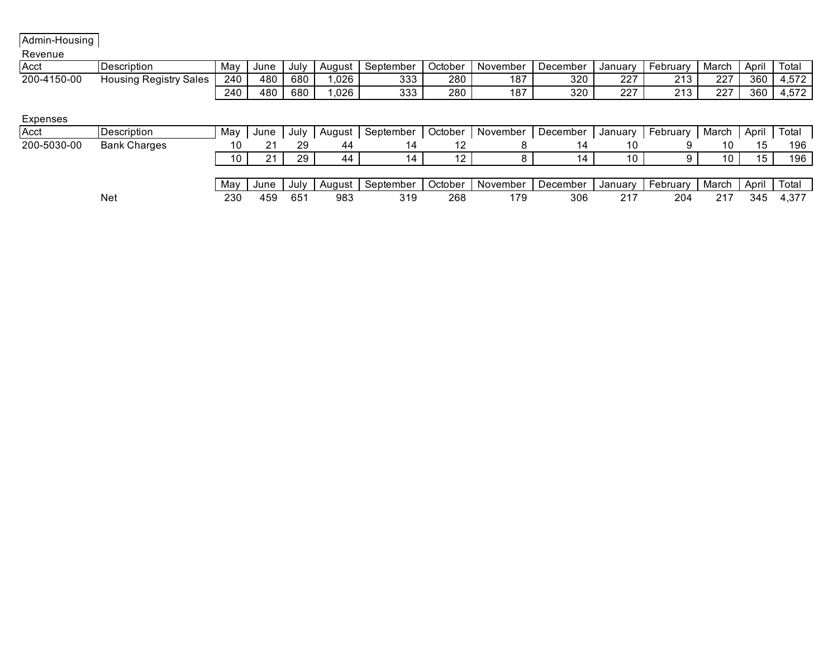Admin-Housing

## Revenue

| Acct        | <b>IDescription</b>         | May | June | July | Auaust | September  | October | November | December | Januarv    | ⊦ebruarv | March | April | Totai                      |
|-------------|-----------------------------|-----|------|------|--------|------------|---------|----------|----------|------------|----------|-------|-------|----------------------------|
| 200-4150-00 | ' Sales<br>Housina Reaistrv | 240 | 480  | 680  | 026    | ひひひ<br>ບບບ | 280     | 187      | 320      | 027        | ດ 4 ດ    | 227   | 360   | 1.770<br>$4.5/\angle$      |
|             |                             | 240 | 480  | 680  | .026   | ひひひ<br>ບບບ | 280     | 187      | 320      | 227<br>LL. | ດ 4 ດ    | 227   | 360   | $-70$<br>4.51 <sub>4</sub> |

### Expenses

| Acct        | <b>IDescription</b> | May | June | July         | August | September | October | November | December | January | February | March | April | Tota <sub>i</sub> |
|-------------|---------------------|-----|------|--------------|--------|-----------|---------|----------|----------|---------|----------|-------|-------|-------------------|
| 200-5030-00 | <b>Bank Charges</b> |     |      | 29           | 44     |           |         |          |          |         |          |       |       | 196               |
|             |                     | 10  | ິ    | 29           | 44     |           | ′       |          |          | 10      |          | 1 O   | 15    | 196               |
|             |                     |     |      |              |        |           |         |          |          |         |          |       |       |                   |
|             |                     | Mav | June | July         | August | September | October | November | December | Januarv | February | March | April | Total             |
|             | <b>Net</b>          | 230 | 459  | $65^{\circ}$ | 983    | 319       | 268     | 179      | 306      | 217     | 204      | 217   | 345   | 4,377             |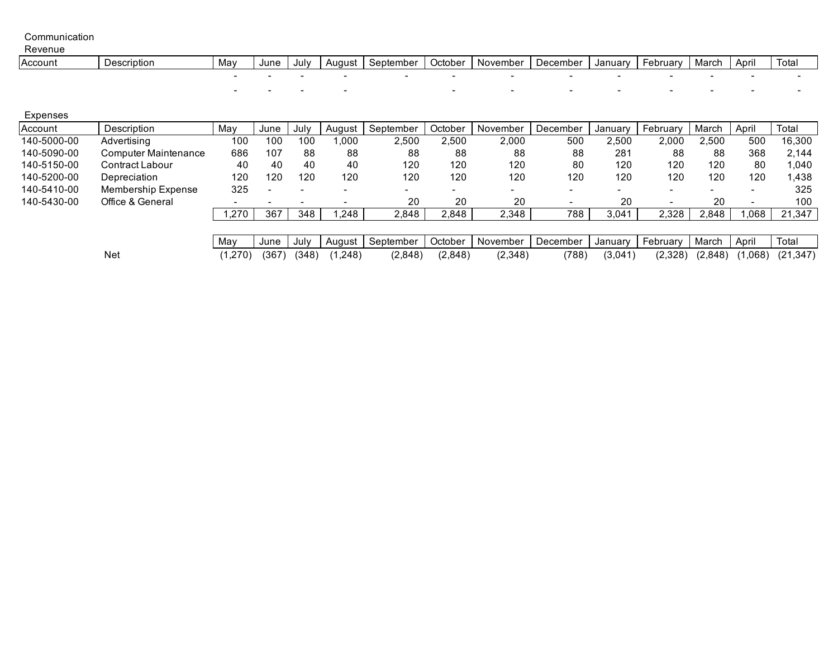Communication

| Revenue |             |                          |                          |      |        |           |                |                          |          |         |          |       |                          |       |
|---------|-------------|--------------------------|--------------------------|------|--------|-----------|----------------|--------------------------|----------|---------|----------|-------|--------------------------|-------|
| Account | Jescription | Mav                      | June                     | July | August | September | <b>October</b> | November                 | December | Januarv | February | March | April                    | Total |
|         |             |                          |                          |      |        |           | - -            | $\overline{\phantom{a}}$ | -        |         |          |       | $\overline{\phantom{a}}$ |       |
|         |             | $\overline{\phantom{a}}$ | $\overline{\phantom{0}}$ |      | - -    |           | $-$            | $-$                      | -        |         |          |       | $\overline{\phantom{a}}$ |       |

| Expenses    |                           |                          |                          |                          |                          |           |                          |          |          |         |          |         |                          |           |
|-------------|---------------------------|--------------------------|--------------------------|--------------------------|--------------------------|-----------|--------------------------|----------|----------|---------|----------|---------|--------------------------|-----------|
| Account     | Description               | May                      | June                     | July                     | August                   | September | October                  | November | December | January | February | March   | April                    | Total     |
| 140-5000-00 | Advertising               | 100                      | 100                      | 100                      | 1.000                    | 2,500     | 2,500                    | 2,000    | 500      | 2,500   | 2.000    | 2.500   | 500                      | 16,300    |
| 140-5090-00 | Computer Maintenance      | 686                      | 107                      | 88                       | 88                       | 88        | 88                       | 88       | 88       | 281     | 88       | 88      | 368                      | 2.144     |
| 140-5150-00 | Contract Labour           | 40                       | 40                       | 40                       | 40                       | 120       | 120                      | 120      | 80       | 120     | 120      | 120     | 80                       | 1,040     |
| 140-5200-00 | Depreciation              | 120                      | 120                      | 120                      | 120                      | 120       | 120                      | 120      | 120      | 120     | 120      | 120     | 120                      | 1,438     |
| 140-5410-00 | <b>Membership Expense</b> | 325                      | $\overline{\phantom{0}}$ | $\overline{\phantom{0}}$ | $\overline{\phantom{0}}$ | $\sim$    | $\overline{\phantom{0}}$ | -        |          |         |          | -       | $\overline{\phantom{0}}$ | 325       |
| 140-5430-00 | Office & General          | $\overline{\phantom{a}}$ | $\overline{\phantom{0}}$ |                          |                          | 20        | 20                       | 20       |          | 20      |          | 20      |                          | 100       |
|             |                           | ,270                     | 367                      | 348                      | ,248                     | 2,848     | 2,848                    | 2,348    | 788      | 3,041   | 2.328    | 2,848   | ,068                     | 21,347    |
|             |                           |                          |                          |                          |                          |           |                          |          |          |         |          |         |                          |           |
|             |                           | May                      | June                     | July                     | August                   | September | October                  | November | December | January | February | March   | April                    | Total     |
|             | Net                       | (1,270)                  | (367                     | (348)                    | ,248)                    | (2,848)   | (2,848)                  | (2,348)  | (788)    | (3,041) | (2, 328) | (2,848) | 068                      | (21, 347) |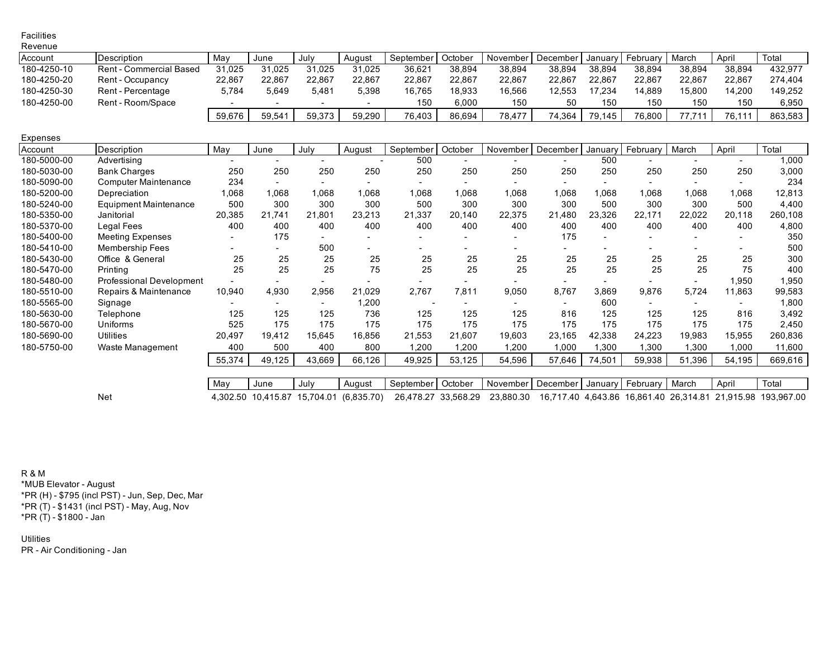| <b>Facilities</b> |                         |        |        |        |        |           |         |          |            |         |          |        |        |         |
|-------------------|-------------------------|--------|--------|--------|--------|-----------|---------|----------|------------|---------|----------|--------|--------|---------|
| Revenue           |                         |        |        |        |        |           |         |          |            |         |          |        |        |         |
| Account           | Description             | Mav    | June   | July   | August | September | October | November | December I | Januarv | February | March  | April  | Total   |
| 180-4250-10       | Rent - Commercial Based | 31,025 | 31,025 | 31,025 | 31,025 | 36,621    | 38,894  | 38,894   | 38,894     | 38,894  | 38,894   | 38,894 | 38,894 | 432.977 |
| 180-4250-20       | Rent - Occupancy        | 22,867 | 22,867 | 22,867 | 22,867 | 22,867    | 22,867  | 22,867   | 22.867     | 22.867  | 22.867   | 22.867 | 22.867 | 274.404 |
| 180-4250-30       | Rent - Percentage       | 5,784  | 5,649  | 5,481  | 5,398  | 16,765    | 18,933  | 16,566   | 12,553     | 17.234  | 14,889   | 15,800 | 14,200 | 149,252 |
| 180-4250-00       | Rent - Room/Space       |        |        |        |        | 150       | 6.000   | 150      | 50         | 150     | 150      | 150    | 150    | 6.950   |
|                   |                         | 59,676 | 59.541 | 59,373 | 59,290 | 76,403    | 86,694  | 78,477   | 74,364     | 79,145  | 76,800   | 77.71  | 76,111 | 863.583 |

| Expenses    |                              |                          |        |        |        |           |         |          |            |         |          |        |                          |         |
|-------------|------------------------------|--------------------------|--------|--------|--------|-----------|---------|----------|------------|---------|----------|--------|--------------------------|---------|
| Account     | Description                  | May                      | June   | Julv   | August | September | October | November | December I | January | February | March  | April                    | Total   |
| 180-5000-00 | Advertising                  | $\sim$                   |        |        |        | 500       |         |          |            | 500     |          |        |                          | 000, I  |
| 180-5030-00 | <b>Bank Charges</b>          | 250                      | 250    | 250    | 250    | 250       | 250     | 250      | 250        | 250     | 250      | 250    | 250                      | 3,000   |
| 180-5090-00 | <b>Computer Maintenance</b>  | 234                      |        |        |        |           |         |          |            |         |          |        |                          | 234     |
| 180-5200-00 | Depreciation                 | 0.068                    | 1.068  | 1.068  | .068   | 1,068     | .068    | 1,068    | 1.068      | 1.068   | 1.068    | .068   | 860.1                    | 12,813  |
| 180-5240-00 | <b>Equipment Maintenance</b> | 500                      | 300    | 300    | 300    | 500       | 300     | 300      | 300        | 500     | 300      | 300    | 500                      | 4,400   |
| 180-5350-00 | Janitorial                   | 20,385                   | 21.741 | 21,801 | 23,213 | 21,337    | 20,140  | 22,375   | 21,480     | 23,326  | 22,171   | 22,022 | 20,118                   | 260,108 |
| 180-5370-00 | Legal Fees                   | 400                      | 400    | 400    | 400    | 400       | 400     | 400      | 400        | 400     | 400      | 400    | 400                      | 4,800   |
| 180-5400-00 | <b>Meeting Expenses</b>      | $\overline{\phantom{0}}$ | 175    |        |        |           |         |          | 175        |         |          |        |                          | 350     |
| 180-5410-00 | Membership Fees              |                          |        | 500    |        |           |         |          |            |         |          |        |                          | 500     |
| 180-5430-00 | Office & General             | 25                       | 25     | 25     | 25     | 25        | 25      | 25       | 25         | 25      | 25       | 25     | 25                       | 300     |
| 180-5470-00 | Printing                     | 25                       | 25     | 25     | 75     | 25        | 25      | 25       | 25         | 25      | 25       | 25     | 75                       | 400     |
| 180-5480-00 | Professional Development     |                          |        |        |        |           |         |          |            |         |          |        | 1,950                    | .950    |
| 180-5510-00 | Repairs & Maintenance        | 10,940                   | 4,930  | 2,956  | 21.029 | 2.767     | 7,811   | 9,050    | 8.767      | 3.869   | 9,876    | 5,724  | 11,863                   | 99,583  |
| 180-5565-00 | Signage                      | $\overline{\phantom{0}}$ | -      |        | 0.200  |           |         |          |            | 600     |          |        | $\overline{\phantom{a}}$ | 800. ا  |
| 180-5630-00 | Telephone                    | 125                      | 125    | 125    | 736    | 125       | 125     | 125      | 816        | 125     | 125      | 125    | 816                      | 3,492   |
| 180-5670-00 | Uniforms                     | 525                      | 175    | 175    | 175    | 175       | 175     | 175      | 175        | 175     | 175      | 175    | 175                      | 2,450   |
| 180-5690-00 | <b>Utilities</b>             | 20,497                   | 19,412 | 15,645 | 16,856 | 21,553    | 21,607  | 19,603   | 23,165     | 42,338  | 24,223   | 19,983 | 15,955                   | 260,836 |
| 180-5750-00 | Waste Management             | 400                      | 500    | 400    | 800    | 1,200     | ,200    | 1,200    | 1,000      | 1,300   | 1,300    | 1,300  | 1,000                    | 11,600  |
|             |                              | 55,374                   | 49,125 | 43,669 | 66,126 | 49,925    | 53,125  | 54,596   | 57,646     | 74,501  | 59,938   | 51,396 | 54,195                   | 669,616 |

May June July | August | September | October | November | December | January | February | March | April | Total Net 4,302.50 10,415.87 15,704.01 (6,835.70) 26,478.27 33,568.29 23,880.30 16,717.40 4,643.86 16,861.40 26,314.81 21,915.98 193,967.00

R & M \*MUB Elevator - August \*PR (H) - \$795 (incl PST) - Jun, Sep, Dec, Mar \*PR (T) - \$1431 (incl PST) - May, Aug, Nov \*PR (T) - \$1800 - Jan

**Utilities** PR - Air Conditioning - Jan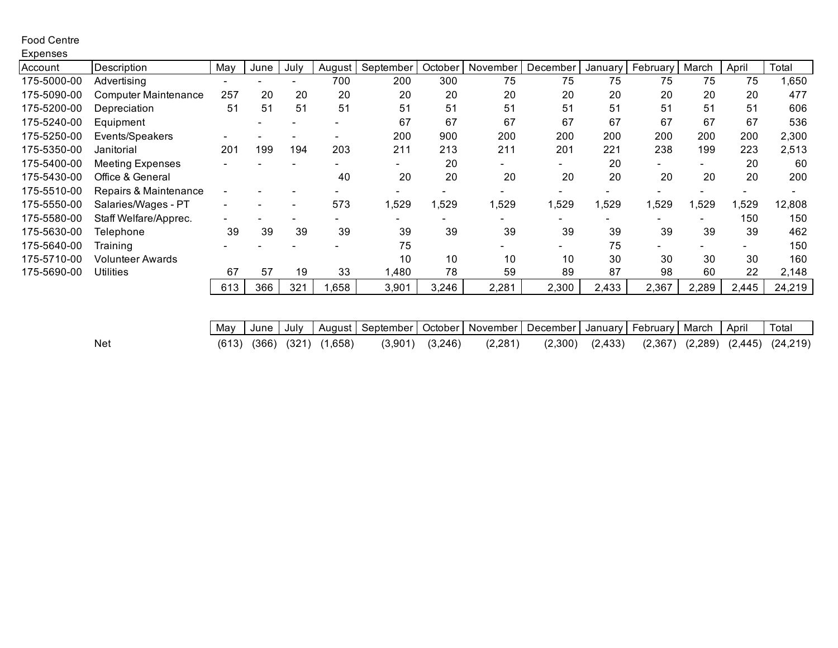## Food Centre

| Expenses    |                             |                          |      |      |                          |                          |       |                    |          |                          |                          |                          |                          |        |
|-------------|-----------------------------|--------------------------|------|------|--------------------------|--------------------------|-------|--------------------|----------|--------------------------|--------------------------|--------------------------|--------------------------|--------|
| Account     | Description                 | May                      | June | July | August                   | September                |       | October   November | December | January                  | February                 | March                    | April                    | Total  |
| 175-5000-00 | Advertising                 | $\overline{\phantom{0}}$ |      |      | 700                      | 200                      | 300   | 75                 | 75       | 75                       | 75                       | 75                       | 75                       | 1,650  |
| 175-5090-00 | <b>Computer Maintenance</b> | 257                      | 20   | 20   | 20                       | 20                       | 20    | 20                 | 20       | 20                       | 20                       | 20                       | 20                       | 477    |
| 175-5200-00 | Depreciation                | 51                       | 51   | 51   | 51                       | 51                       | 51    | 51                 | 51       | 51                       | 51                       | 51                       | 51                       | 606    |
| 175-5240-00 | Equipment                   |                          |      |      | -                        | 67                       | 67    | 67                 | 67       | 67                       | 67                       | 67                       | 67                       | 536    |
| 175-5250-00 | Events/Speakers             |                          |      |      |                          | 200                      | 900   | 200                | 200      | 200                      | 200                      | 200                      | 200                      | 2,300  |
| 175-5350-00 | Janitorial                  | 201                      | 199  | 194  | 203                      | 211                      | 213   | 211                | 201      | 221                      | 238                      | 199                      | 223                      | 2,513  |
| 175-5400-00 | <b>Meeting Expenses</b>     |                          |      |      |                          | $\overline{\phantom{0}}$ | 20    |                    |          | 20                       | $\overline{\phantom{0}}$ | -                        | 20                       | 60     |
| 175-5430-00 | Office & General            |                          |      |      | 40                       | 20                       | 20    | 20                 | 20       | 20                       | 20                       | 20                       | 20                       | 200    |
| 175-5510-00 | Repairs & Maintenance       |                          |      |      |                          |                          |       |                    |          |                          |                          |                          |                          |        |
| 175-5550-00 | Salaries/Wages - PT         | $\overline{\phantom{0}}$ |      |      | 573                      | 1,529                    | ,529  | ,529               | ,529     | 1,529                    | ,529                     | ,529                     | ,529                     | 12,808 |
| 175-5580-00 | Staff Welfare/Apprec.       | $\blacksquare$           |      |      | $\overline{\phantom{0}}$ |                          |       |                    |          | $\overline{\phantom{0}}$ | -                        | $\overline{\phantom{0}}$ | 150                      | 150    |
| 175-5630-00 | Telephone                   | 39                       | 39   | 39   | 39                       | 39                       | 39    | 39                 | 39       | 39                       | 39                       | 39                       | 39                       | 462    |
| 175-5640-00 | Training                    |                          |      |      |                          | 75                       |       |                    |          | 75                       | $\overline{\phantom{0}}$ |                          | $\overline{\phantom{0}}$ | 150    |
| 175-5710-00 | Volunteer Awards            |                          |      |      |                          | 10                       | 10    | 10                 | 10       | 30                       | 30                       | 30                       | 30                       | 160    |
| 175-5690-00 | <b>Utilities</b>            | 67                       | 57   | 19   | 33                       | 1,480                    | 78    | 59                 | 89       | 87                       | 98                       | 60                       | 22                       | 2,148  |
|             |                             | 613                      | 366  | 321  | ,658                     | 3,901                    | 3,246 | 2,281              | 2,300    | 2,433                    | 2,367                    | 2,289                    | 2,445                    | 24,219 |

|     | May |  |                                   | / June   July   August   September   October   November   December   January   February   March   April   Total |                     |         |                                                              |  |  |  |
|-----|-----|--|-----------------------------------|-----------------------------------------------------------------------------------------------------------------|---------------------|---------|--------------------------------------------------------------|--|--|--|
| Net |     |  | $(613)$ $(366)$ $(321)$ $(1,658)$ |                                                                                                                 | $(3,901)$ $(3,246)$ | (2,281) | $(2,300)$ $(2,433)$ $(2,367)$ $(2,289)$ $(2,445)$ $(24,219)$ |  |  |  |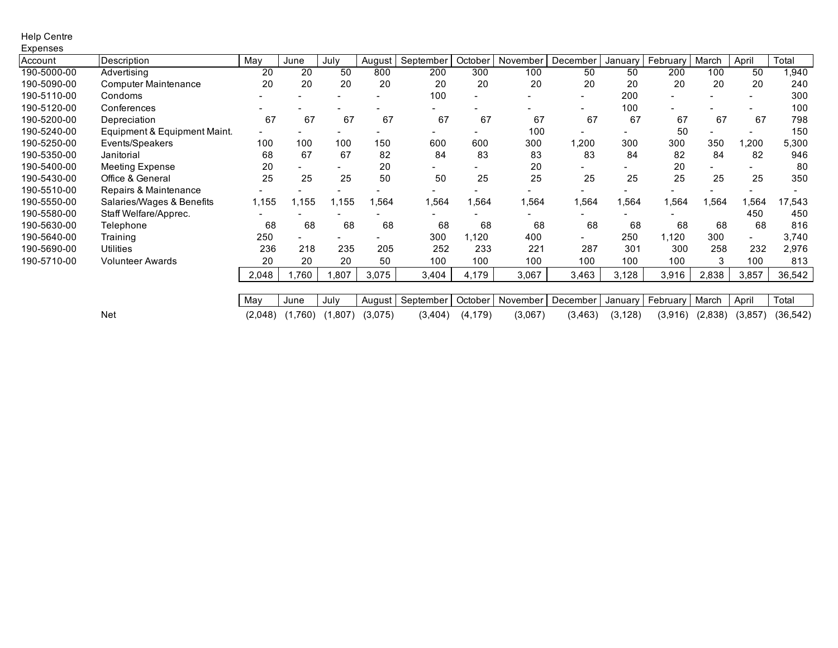### Help Centre **Expenses**

| Account     | Description                  | May   | June  | July  |               | September | October | November | December | Januarv | Februarv | March | April | Total  |
|-------------|------------------------------|-------|-------|-------|---------------|-----------|---------|----------|----------|---------|----------|-------|-------|--------|
|             |                              |       | 20    | 50    | August<br>800 |           |         |          |          |         |          |       |       |        |
| 190-5000-00 | Advertising                  | 20    |       |       |               | 200       | 300     | 100      | 50       | 50      | 200      | 100   | 50    | 1,940  |
| 190-5090-00 | <b>Computer Maintenance</b>  | 20    | 20    | 20    | 20            | 20        | 20      | 20       | 20       | 20      | 20       | 20    | 20    | 240    |
| 190-5110-00 | Condoms                      |       |       |       |               | 100       |         |          |          | 200     |          |       |       | 300    |
| 190-5120-00 | Conferences                  |       |       |       |               |           |         |          |          | 100     |          |       |       | 100    |
| 190-5200-00 | Depreciation                 | 67    | 67    | 67    | 67            | 67        | 67      | 67       | 67       | 67      | 67       | 67    | 67    | 798    |
| 190-5240-00 | Equipment & Equipment Maint. |       |       |       |               |           |         | 100      |          |         | 50       |       |       | 150    |
| 190-5250-00 | Events/Speakers              | 100   | 100   | 100   | 150           | 600       | 600     | 300      | ,200     | 300     | 300      | 350   | ,200  | 5,300  |
| 190-5350-00 | Janitorial                   | 68    | 67    | 67    | 82            | 84        | 83      | 83       | 83       | 84      | 82       | 84    | 82    | 946    |
| 190-5400-00 | <b>Meeting Expense</b>       | 20    |       |       | 20            |           |         | 20       |          |         | 20       |       |       | 80     |
| 190-5430-00 | Office & General             | 25    | 25    | 25    | 50            | 50        | 25      | 25       | 25       | 25      | 25       | 25    | 25    | 350    |
| 190-5510-00 | Repairs & Maintenance        |       |       |       |               |           |         |          |          |         |          |       |       |        |
| 190-5550-00 | Salaries/Wages & Benefits    | 1,155 | 1,155 | 1,155 | 564.          | 1,564     | 564. ا  | ,564     | 1,564    | 1,564   | 1,564    | 1,564 | .564  | 17,543 |
| 190-5580-00 | Staff Welfare/Apprec.        |       |       |       |               |           |         |          |          |         |          |       | 450   | 450    |
| 190-5630-00 | Telephone                    | 68    | 68    | 68    | 68            | 68        | 68      | 68       | 68       | 68      | 68       | 68    | 68    | 816    |
| 190-5640-00 | Training                     | 250   | Ξ.    |       |               | 300       | 1,120   | 400      |          | 250     | 1,120    | 300   |       | 3,740  |
| 190-5690-00 | <b>Utilities</b>             | 236   | 218   | 235   | 205           | 252       | 233     | 221      | 287      | 301     | 300      | 258   | 232   | 2,976  |
| 190-5710-00 | <b>Volunteer Awards</b>      | 20    | 20    | 20    | 50            | 100       | 100     | 100      | 100      | 100     | 100      | 3     | 100   | 813    |
|             |                              | 2,048 | ,760  | 1,807 | 3,075         | 3,404     | 4,179   | 3,067    | 3,463    | 3,128   | 3,916    | 2,838 | 3,857 | 36,542 |
|             |                              |       |       |       |               |           |         |          |          |         |          |       |       |        |
|             |                              |       |       |       |               |           |         |          |          |         |          |       |       |        |

| May | June | July | August | September | October | November | December | January | February | March | April | Total  $\overline{\phantom{a}}$ Net (2,048) (1,760) (1,807) (3,075) (3,404) (4,179) (3,067) (3,463) (3,128) (3,916) (2,838) (3,857) (36,542)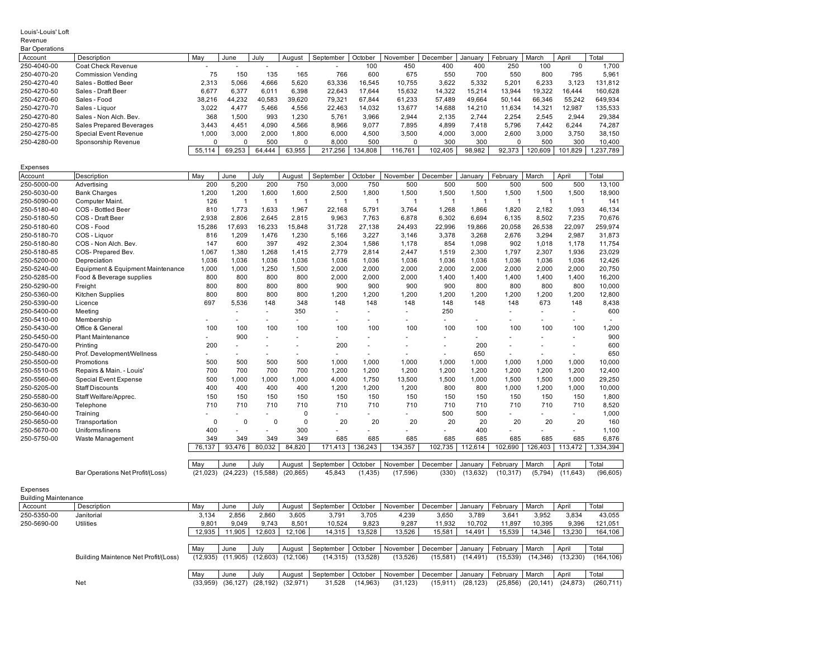#### Louis'-Louis' Loft

| Revenue                     |                                   |                |                |               |                      |              |                |              |              |                |                |                |                |           |
|-----------------------------|-----------------------------------|----------------|----------------|---------------|----------------------|--------------|----------------|--------------|--------------|----------------|----------------|----------------|----------------|-----------|
| <b>Bar Operations</b>       |                                   |                |                |               |                      |              |                |              |              |                |                |                |                |           |
| Account                     | Description                       | May            | June           | July          | August               | September    | October        | November     | December     | January        | February       | March          | April          | Total     |
| 250-4040-00                 | Coat Check Revenue                |                |                |               |                      |              | 100            | 450          | 400          | 400            | 250            | 100            | 0              | 1,700     |
| 250-4070-20                 | <b>Commission Vending</b>         | 75             | 150            | 135           | 165                  | 766          | 600            | 675          | 550          | 700            | 550            | 800            | 795            | 5,961     |
| 250-4270-40                 | Sales - Bottled Beer              | 2,313          | 5,066          | 4,666         | 5,620                | 63,336       | 16,545         | 10,755       | 3,622        | 5,332          | 5,201          | 6,233          | 3,123          | 131,812   |
| 250-4270-50                 | Sales - Draft Beer                | 6,677          | 6,377          | 6,011         | 6,398                | 22,643       | 17,644         | 15,632       | 14,322       | 15,214         | 13,944         | 19,322         | 16,444         | 160,628   |
| 250-4270-60                 | Sales - Food                      | 38,216         | 44,232         | 40,583        | 39,620               | 79,321       | 67,844         | 61,233       | 57,489       | 49,664         | 50,144         | 66,346         | 55,242         | 649,934   |
| 250-4270-70                 | Sales - Liquor                    | 3,022          | 4,477          | 5,466         | 4,556                | 22,463       | 14,032         | 13,677       | 14,688       | 14,210         | 11,634         | 14,321         | 12,987         | 135,533   |
| 250-4270-80                 | Sales - Non Alch. Bev.            | 368            | 1,500          | 993           | 1,230                | 5,761        | 3,966          | 2,944        | 2,135        | 2,744          | 2,254          | 2,545          | 2,944          | 29,384    |
| 250-4270-85                 | Sales Prepared Beverages          | 3,443          | 4,451          | 4,090         | 4,566                | 8,966        | 9,077          | 7,895        | 4,899        | 7,418          | 5,796          | 7,442          | 6,244          | 74,287    |
| 250-4275-00                 | <b>Special Event Revenue</b>      | 1,000          | 3,000          | 2,000         | 1,800                | 6,000        | 4,500          | 3,500        | 4,000        | 3,000          | 2,600          | 3,000          | 3,750          | 38,150    |
| 250-4280-00                 | Sponsorship Revenue               | 0              | 0              | 500           | $\Omega$             | 8,000        | 500            | $\Omega$     | 300          | 300            | $\mathbf 0$    | 500            | 300            | 10,400    |
|                             |                                   | 55,114         | 69,253         | 64,444        | 63,955               | 217,256      | 134,808        | 116,761      | 102,405      | 98,982         | 92,373         | 120,609        | 101,829        | 1,237,789 |
|                             |                                   |                |                |               |                      |              |                |              |              |                |                |                |                |           |
| <b>Expenses</b>             |                                   |                |                |               |                      |              |                |              |              |                |                |                |                |           |
| Account                     | Description                       | May            | June           | July          | August               | September    | October        | November     | December     | January        | February       | March          | April          | Total     |
| 250-5000-00                 | Advertising                       | 200            | 5,200          | 200           | 750                  | 3,000        | 750            | 500          | 500          | 500            | 500            | 500            | 500            | 13,100    |
| 250-5030-00                 | <b>Bank Charges</b>               | 1,200          | 1,200          | 1,600         | 1,600                | 2,500        | 1,800          | 1,500        | 1,500        | 1,500          | 1,500          | 1,500          | 1,500          | 18,900    |
| 250-5090-00                 | Computer Maint.                   | 126            | $\overline{1}$ | $\mathbf{1}$  | $\mathbf{1}$         | $\mathbf{1}$ | $\mathbf{1}$   | $\mathbf{1}$ | $\mathbf{1}$ | $\overline{1}$ | $\mathbf{1}$   | $\mathbf{1}$   | $\mathbf{1}$   | 141       |
| 250-5180-40                 | COS - Bottled Beer                | 810            | 1,773          | 1.633         | 1,967                | 22.168       | 5,791          | 3.764        | 1,268        | 1.866          | 1.820          | 2,182          | 1.093          | 46.134    |
| 250-5180-50                 | COS - Draft Beer                  | 2.938          | 2.806          | 2.645         | 2.815                | 9.963        | 7,763          | 6.878        | 6.302        | 6.694          | 6.135          | 8.502          | 7,235          | 70.676    |
| 250-5180-60                 | COS - Food                        | 15,286         | 17,693         | 16,233        | 15,848               | 31,728       | 27,138         | 24,493       | 22,996       | 19,866         | 20,058         | 26,538         | 22,097         | 259,974   |
| 250-5180-70                 | COS - Liquor                      | 816            | 1,209          | 1,476         | 1,230                | 5,166        | 3,227          | 3,146        | 3,378        | 3,268          | 2,676          | 3,294          | 2,987          | 31,873    |
| 250-5180-80                 | COS - Non Alch. Bev.              | 147            | 600            | 397           | 492                  | 2,304        | 1,586          | 1,178        | 854          | 1,098          | 902            | 1,018          | 1,178          | 11,754    |
| 250-5180-85                 | COS- Prepared Bev.                | 1,067          | 1,380          | 1,268         | 1,415                | 2,779        | 2,814          | 2,447        | 1,519        | 2,300          | 1,797          | 2,307          | 1,936          | 23,029    |
| 250-5200-00                 | Depreciation                      | 1,036          | 1.036          | 1.036         | 1.036                | 1.036        | 1,036          | 1,036        | 1.036        | 1.036          | 1.036          | 1.036          | 1.036          | 12.426    |
| 250-5240-00                 | Equipment & Equipment Maintenance | 1,000          | 1,000          | 1,250         | 1,500                | 2,000        | 2,000          | 2,000        | 2,000        | 2,000          | 2,000          | 2,000          | 2,000          | 20,750    |
| 250-5285-00                 | Food & Beverage supplies          | 800            | 800            | 800           | 800                  | 2,000        | 2,000          | 2,000        | 1,400        | 1,400          | 1,400          | 1,400          | 1,400          | 16,200    |
| 250-5290-00                 | Freight                           | 800            | 800            | 800           | 800                  | 900          | 900            | 900          | 900          | 800            | 800            | 800            | 800            | 10,000    |
| 250-5360-00                 | Kitchen Supplies                  | 800            | 800            | 800           | 800                  | 1,200        | 1,200          | 1,200        | 1,200        | 1,200          | 1,200          | 1,200          | 1,200          | 12,800    |
| 250-5390-00                 | Licence                           | 697            | 5,536          | 148           | 348                  | 148          | 148            | 148          | 148          | 148            | 148            | 673            | 148            | 8,438     |
| 250-5400-00                 | Meeting                           |                |                | $\sim$        | 350                  |              | ÷              |              | 250          |                |                | ÷.             | $\overline{a}$ | 600       |
| 250-5410-00                 | Membership                        |                |                |               |                      |              |                |              |              |                |                |                |                |           |
| 250-5430-00                 | Office & General                  | 100            | 100            | 100           | 100                  | 100          | 100            | 100          | 100          | 100            | 100            | 100            | 100            | 1,200     |
| 250-5450-00                 | <b>Plant Maintenance</b>          | $\overline{a}$ | 900            |               |                      |              | ٠              |              |              | ÷              |                | ÷.             |                | 900       |
| 250-5470-00                 | Printing                          | 200            |                |               | $\ddot{\phantom{1}}$ | 200          | $\sim$         |              | $\sim$       | 200            | $\sim$         | ÷              |                | 600       |
| 250-5480-00                 | Prof. Development/Wellness        |                |                | $\sim$        |                      |              | ä,             |              |              | 650            |                |                |                | 650       |
| 250-5500-00                 | Promotions                        | 500            | 500            | 500           | 500                  | 1,000        | 1,000          | 1,000        | 1,000        | 1,000          | 1,000          | 1,000          | 1,000          | 10,000    |
| 250-5510-05                 | Repairs & Main. - Louis'          | 700            | 700            | 700           | 700                  | 1,200        | 1,200          | 1,200        | 1,200        | 1,200          | 1,200          | 1,200          | 1,200          | 12,400    |
| 250-5560-00                 |                                   | 500            |                |               | 1.000                |              |                |              |              |                |                |                |                | 29.250    |
|                             | <b>Special Event Expense</b>      |                | 1,000          | 1,000         |                      | 4,000        | 1,750          | 13,500       | 1,500        | 1,000          | 1,500          | 1,500          | 1,000          |           |
| 250-5205-00                 | <b>Staff Discounts</b>            | 400            | 400            | 400           | 400                  | 1,200        | 1,200          | 1,200        | 800          | 800            | 1.000          | 1.200          | 1.000          | 10.000    |
| 250-5580-00                 | Staff Welfare/Apprec.             | 150<br>710     | 150            | 150           | 150                  | 150          | 150            | 150          | 150          | 150            | 150            | 150            | 150            | 1,800     |
| 250-5630-00                 | Telephone                         |                | 710            | 710           | 710                  | 710          | 710            | 710          | 710          | 710            | 710            | 710            | 710            | 8,520     |
| 250-5640-00<br>250-5650-00  | Training                          | $\mathbf 0$    | $\mathbf 0$    | $\mathbf 0$   | 0<br>$\mathbf 0$     | 20           | 20             | 20           | 500<br>20    | 500<br>20      | 20             | 20             | 20             | 1,000     |
|                             | Transportation                    |                |                |               |                      |              |                |              |              |                |                |                |                | 160       |
| 250-5670-00                 | Uniforms/linens                   | 400            |                |               | 300                  |              |                |              |              | 400            |                |                | ÷              | 1,100     |
| 250-5750-00                 | Waste Management                  | 349            | 349<br>93,476  | 349<br>80,032 | 349<br>84,820        | 685          | 685<br>136,243 | 685          | 685          | 685            | 685<br>102,690 | 685<br>126,403 | 685<br>113,472 | 6,876     |
|                             |                                   | 76,137         |                |               |                      | 171,413      |                | 134,357      | 102,735      | 112,614        |                |                |                | 1,334,394 |
|                             |                                   | May            | June           | July          | August               | September    | October        | November     | December     | January        | February       | March          | April          | Total     |
|                             |                                   | (21, 023)      | (24, 223)      | (15,588)      | (20, 865)            | 45,843       | (1, 435)       | (17, 596)    | (330)        | (13, 632)      | (10, 317)      | (5,794)        | (11, 643)      | (96, 605) |
|                             | Bar Operations Net Profit/(Loss)  |                |                |               |                      |              |                |              |              |                |                |                |                |           |
| Expenses                    |                                   |                |                |               |                      |              |                |              |              |                |                |                |                |           |
| <b>Building Maintenance</b> |                                   |                |                |               |                      |              |                |              |              |                |                |                |                |           |
| Account                     | Description                       | May            | June           | July          | August               | September    | October        | November     | December     | January        | February       | March          | April          | Total     |
| 250-5350-00                 | Janitorial                        | 3,134          | 2,856          | 2,860         | 3,605                | 3,791        | 3,705          | 4,239        | 3,650        | 3,789          | 3,641          | 3,952          | 3,834          | 43,055    |
| 250-5690-00                 | Utilities                         | 9,801          | 9,049          | 9,743         | 8,501                | 10,524       | 9,823          | 9,287        | 11,932       | 10,702         | 11,897         | 10,395         | 9,396          | 121,051   |
|                             |                                   | 12,935         | 11,905         | 12,603        | 12,106               | 14,315       | 13,528         | 13,526       | 15,581       | 14,491         | 15,539         | 14,346         | 13,230         | 164,106   |
|                             |                                   |                |                |               |                      |              |                |              |              |                |                |                |                |           |

May June July August September October November December January February March April Total Building Maintence Net Profit/(Loss) (12,935) (11,905) (12,603) (12,106) (14,315) (13,528) (13,526) (15,581) (14,491) (15,539) (14,346) (13,230) (164,106) May June July August September October November December January February March April Total

Net (33,959) (36,127) (28,192) (32,971) 31,528 (14,963) (31,123) (15,911) (28,123) (25,856) (20,141) (24,873) (260,711)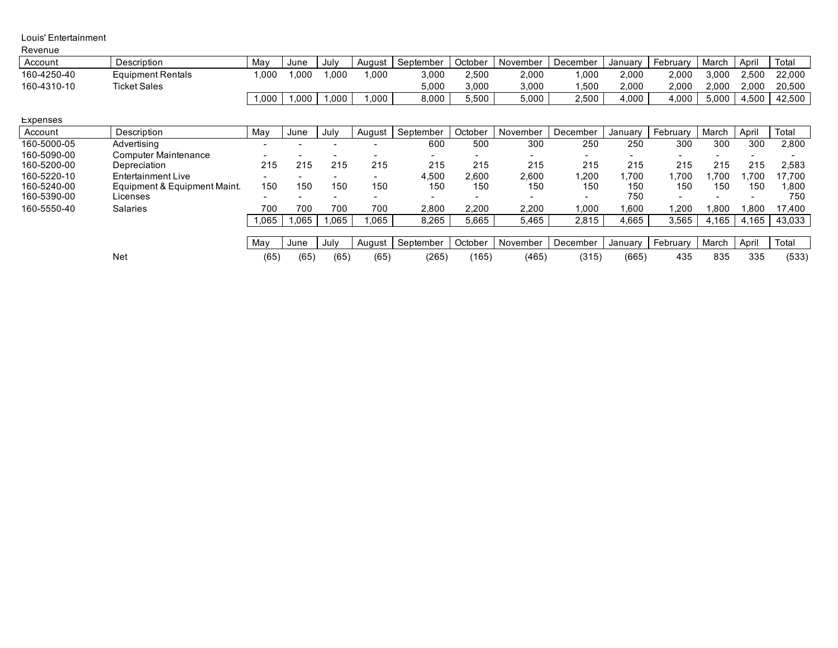#### Louis' Entertainment

| Revenue     |                              |        |       |                          |        |           |         |          |          |         |                          |       |       |        |
|-------------|------------------------------|--------|-------|--------------------------|--------|-----------|---------|----------|----------|---------|--------------------------|-------|-------|--------|
| Account     | Description                  | May    | June  | July                     | August | September | October | November | December | January | February                 | March | April | Total  |
| 160-4250-40 | <b>Equipment Rentals</b>     | ,000   | 1.000 | 000,1                    | 1,000  | 3,000     | 2,500   | 2,000    | 1,000    | 2,000   | 2,000                    | 3,000 | 2,500 | 22,000 |
| 160-4310-10 | <b>Ticket Sales</b>          |        |       |                          |        | 5,000     | 3,000   | 3,000    | .500     | 2,000   | 2,000                    | 2,000 | 2.000 | 20,500 |
|             |                              | 1,000  | 1,000 | 000.                     | 000,1  | 8,000     | 5,500   | 5,000    | 2,500    | 4,000   | 4,000                    | 5,000 | 4,500 | 42,500 |
| Expenses    |                              |        |       |                          |        |           |         |          |          |         |                          |       |       |        |
| Account     | Description                  | May    | June  | July                     | August | September | October | November | December | January | February                 | March | April | Total  |
| 160-5000-05 | Advertising                  |        |       |                          |        | 600       | 500     | 300      | 250      | 250     | 300                      | 300   | 300   | 2,800  |
| 160-5090-00 | <b>Computer Maintenance</b>  |        |       |                          |        | $\sim$    |         |          |          |         | $\overline{\phantom{a}}$ |       |       |        |
| 160-5200-00 | Depreciation                 | 215    | 215   | 215                      | 215    | 215       | 215     | 215      | 215      | 215     | 215                      | 215   | 215   | 2,583  |
| 160-5220-10 | Entertainment Live           |        |       | ۰.                       |        | 4,500     | 2,600   | 2,600    | ,200     | ,700    | 1.700                    | .700  | .700  | 17.700 |
| 160-5240-00 | Equipment & Equipment Maint. | 150    | 150   | 150                      | 150    | 150       | 150     | 150      | 150      | 150     | 150                      | 150   | 150   | 1.800  |
| 160-5390-00 | Licenses                     | $\sim$ |       | $\overline{\phantom{0}}$ | -      | $\sim$    |         | -        |          | 750     | $\overline{\phantom{a}}$ | ۰     |       | 750    |
| 160-5550-40 | <b>Salaries</b>              | 700    | 700   | 700                      | 700    | 2,800     | 2,200   | 2,200    | 1,000    | .600    | 200. ا                   | 0.800 | .800  | 17,400 |
|             |                              | .065   | 1.065 | .065                     | .065   | 8,265     | 5,665   | 5,465    | 2,815    | 4,665   | 3,565                    | 4.165 | 4,165 | 43,033 |
|             |                              |        |       |                          |        |           |         |          |          |         |                          |       |       |        |
|             |                              | May    | June  | July                     | August | September | October | November | December | January | February                 | March | April | Total  |
|             | Net                          | (65)   | (65)  | (65)                     | (65)   | (265)     | (165)   | (465)    | (315)    | (665)   | 435                      | 835   | 335   | (533)  |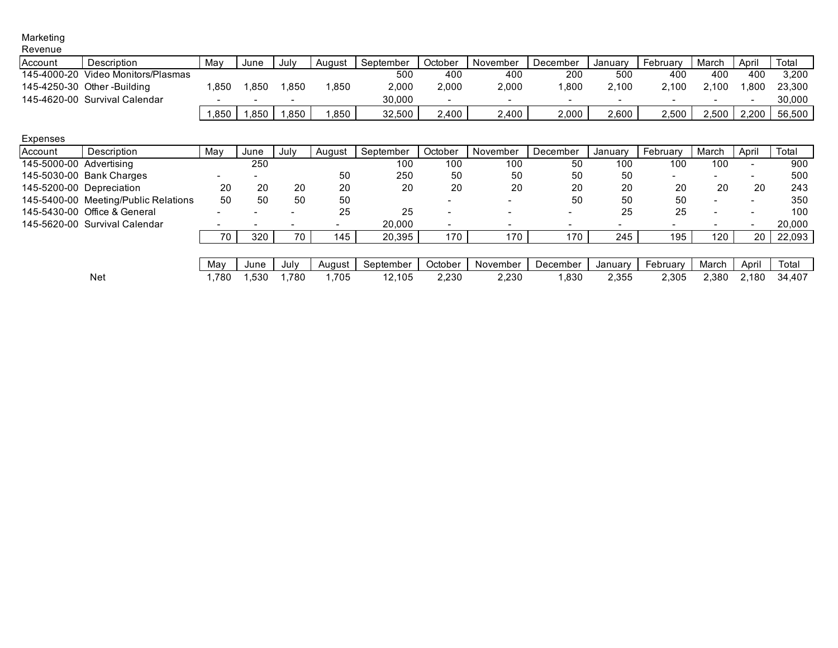#### Marketing Revenue

| ,,,,,,,,,,, |                               |                          |                          |        |        |           |                          |          |          |                          |          |                          |                          |        |
|-------------|-------------------------------|--------------------------|--------------------------|--------|--------|-----------|--------------------------|----------|----------|--------------------------|----------|--------------------------|--------------------------|--------|
| Account     | Description                   | Mav                      | June                     | July   | August | September | October                  | November | December | Januarv                  | February | March                    | April                    | Total  |
| 145-4000-20 | Video Monitors/Plasmas        |                          |                          |        |        | 500       | 400                      | 400      | 200      | 500                      | 400      | 400                      | 400                      | 3,200  |
|             | 145-4250-30 Other-Building    | .850                     | .850                     | .850   | .850   | 2.000     | 2,000                    | 2,000    | .800     | 2.100                    | 2.100    | 2.100                    | .800                     | 23,300 |
|             | 145-4620-00 Survival Calendar | $\overline{\phantom{a}}$ | $\overline{\phantom{0}}$ | $\sim$ |        | 30.000    | $\overline{\phantom{a}}$ |          |          | $\overline{\phantom{0}}$ |          | $\overline{\phantom{a}}$ | $\overline{\phantom{a}}$ | 30,000 |
|             |                               | .850                     | ,850                     | .850   | ,850   | 32,500    | 2.400                    | 2.400    | 2,000    | 2.600                    | 2.500    | 2.500                    | 2.200                    | 56,500 |
|             |                               |                          |                          |        |        |           |                          |          |          |                          |          |                          |                          |        |

### Expenses

| Account                 | Description                          | May | June                     | July | August | September | October                  | November                 | December | January                  | February                 | March                    | April | Total  |
|-------------------------|--------------------------------------|-----|--------------------------|------|--------|-----------|--------------------------|--------------------------|----------|--------------------------|--------------------------|--------------------------|-------|--------|
| 145-5000-00 Advertising |                                      |     | 250                      |      |        | 100       | 100                      | 100                      | 50       | 100                      | 100                      | 100                      |       | 900    |
|                         | 145-5030-00 Bank Charges             |     |                          |      | 50     | 250       | 50                       | 50                       | 50       | 50                       | $\overline{\phantom{0}}$ | $\overline{\phantom{a}}$ |       | 500    |
|                         | 145-5200-00 Depreciation             | 20  | 20                       | 20   | 20     | 20        | 20                       | 20                       | 20       | 20                       | 20                       | 20                       | 20    | 243    |
|                         | 145-5400-00 Meeting/Public Relations | 50  | 50                       | 50   | 50     |           | $\overline{\phantom{a}}$ | $\overline{\phantom{a}}$ | 50       | 50                       | 50                       | $\overline{\phantom{0}}$ |       | 350    |
|                         | 145-5430-00 Office & General         |     |                          |      | 25     | 25        | $\overline{\phantom{a}}$ |                          |          | 25                       | 25                       | $\overline{\phantom{0}}$ |       | 100    |
|                         | 145-5620-00 Survival Calendar        |     | $\overline{\phantom{a}}$ |      |        | 20,000    | $\overline{\phantom{a}}$ |                          |          | $\overline{\phantom{0}}$ |                          |                          |       | 20,000 |
|                         |                                      | 70  | 320                      | 70   | 145    | 20,395    | 170                      | 170                      | 170      | 245                      | 195                      | 120                      |       | 22,093 |
|                         |                                      |     |                          |      |        |           |                          |                          |          |                          |                          |                          |       |        |
|                         |                                      | Mav | June                     | July | Auaust | September | October                  | November                 | December | January                  | February                 | March                    | April | Total  |

Net 1,780 1,530 1,780 1,705 12,105 2,230 2,230 1,830 2,355 2,305 2,380 2,180 34,407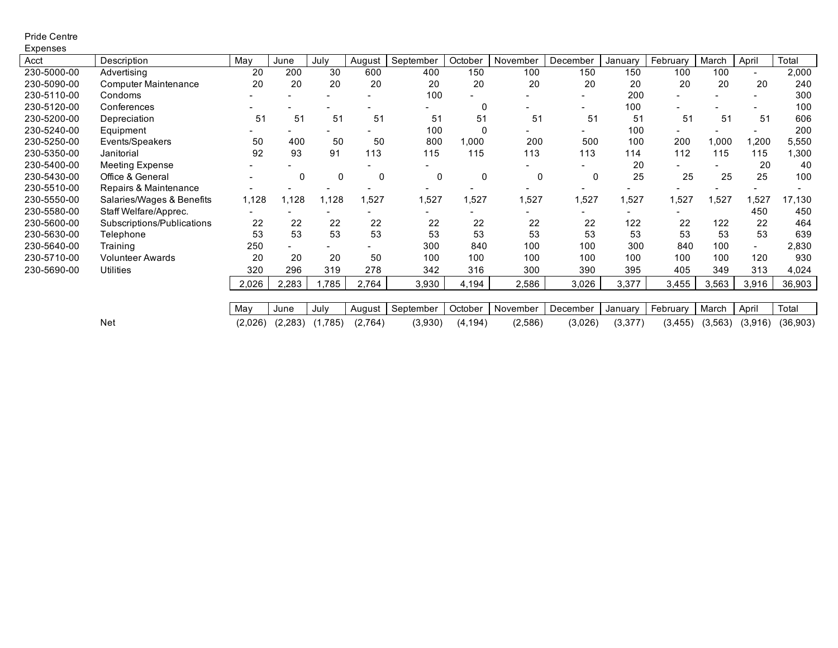#### Pride Centre Expenses

| Acct        | Description                 | May     | June     | July    | August   | September | October  | November | December | Januarv | February | March   | April   | Total     |
|-------------|-----------------------------|---------|----------|---------|----------|-----------|----------|----------|----------|---------|----------|---------|---------|-----------|
| 230-5000-00 | Advertising                 | 20      | 200      | 30      | 600      | 400       | 150      | 100      | 150      | 150     | 100      | 100     |         | 2,000     |
| 230-5090-00 | <b>Computer Maintenance</b> | 20      | 20       | 20      | 20       | 20        | 20       | 20       | 20       | 20      | 20       | 20      | 20      | 240       |
| 230-5110-00 | Condoms                     |         |          |         |          | 100       |          |          |          | 200     |          |         |         | 300       |
| 230-5120-00 | Conferences                 |         |          |         |          |           | 0        |          |          | 100     |          |         |         | 100       |
| 230-5200-00 | Depreciation                | 51      | 51       | 51      | 51       | 51        | 51       | 51       | 51       | 51      | 51       | 51      | 51      | 606       |
| 230-5240-00 | Equipment                   |         |          |         |          | 100       | 0        |          |          | 100     |          |         |         | 200       |
| 230-5250-00 | Events/Speakers             | 50      | 400      | 50      | 50       | 800       | 1,000    | 200      | 500      | 100     | 200      | 1,000   | 200. ا  | 5,550     |
| 230-5350-00 | Janitorial                  | 92      | 93       | 91      | 113      | 115       | 115      | 113      | 113      | 114     | 112      | 115     | 115     | 1,300     |
| 230-5400-00 | <b>Meeting Expense</b>      |         |          |         |          |           |          |          |          | 20      |          |         | 20      | 40        |
| 230-5430-00 | Office & General            |         | 0        | 0       | $\Omega$ | 0         | 0        | 0        | 0        | 25      | 25       | 25      | 25      | 100       |
| 230-5510-00 | Repairs & Maintenance       |         |          |         |          |           |          |          |          |         |          |         |         |           |
| 230-5550-00 | Salaries/Wages & Benefits   | 1,128   | 1.128    | 1,128   | 1,527    | 1,527     | 1,527    | 1,527    | 1,527    | 1,527   | 1,527    | 1,527   | ,527    | 17,130    |
| 230-5580-00 | Staff Welfare/Apprec.       |         |          |         |          |           |          |          |          |         |          |         | 450     | 450       |
| 230-5600-00 | Subscriptions/Publications  | 22      | 22       | 22      | 22       | 22        | 22       | 22       | 22       | 122     | 22       | 122     | 22      | 464       |
| 230-5630-00 | Telephone                   | 53      | 53       | 53      | 53       | 53        | 53       | 53       | 53       | 53      | 53       | 53      | 53      | 639       |
| 230-5640-00 | Training                    | 250     |          |         |          | 300       | 840      | 100      | 100      | 300     | 840      | 100     |         | 2,830     |
| 230-5710-00 | <b>Volunteer Awards</b>     | 20      | 20       | 20      | 50       | 100       | 100      | 100      | 100      | 100     | 100      | 100     | 120     | 930       |
| 230-5690-00 | <b>Utilities</b>            | 320     | 296      | 319     | 278      | 342       | 316      | 300      | 390      | 395     | 405      | 349     | 313     | 4,024     |
|             |                             | 2,026   | 2,283    | 1,785   | 2,764    | 3,930     | 4,194    | 2,586    | 3,026    | 3,377   | 3,455    | 3,563   | 3,916   | 36,903    |
|             |                             |         |          |         |          |           |          |          |          |         |          |         |         |           |
|             |                             | May     | June     | July    | August   | September | October  | November | December | January | February | March   | April   | Total     |
|             | <b>Net</b>                  | (2,026) | (2, 283) | (1,785) | (2,764)  | (3,930)   | (4, 194) | (2,586)  | (3,026)  | (3,377) | (3, 455) | (3,563) | (3,916) | (36, 903) |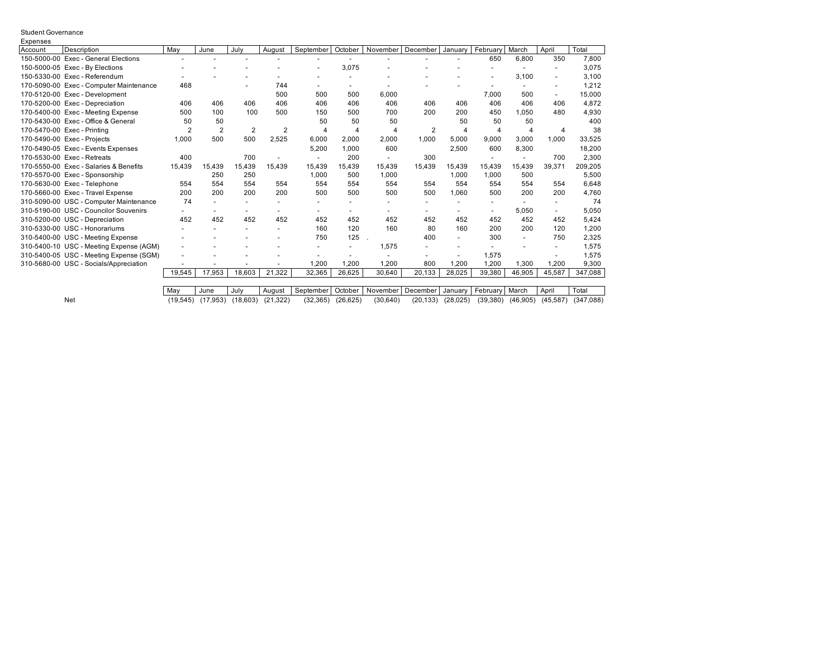#### Student Governance **E**xpenses

| ∟∧рспэсэ |                                         |        |        |                |        |                      |                |                          |                          |         |                          |                          |        |                   |
|----------|-----------------------------------------|--------|--------|----------------|--------|----------------------|----------------|--------------------------|--------------------------|---------|--------------------------|--------------------------|--------|-------------------|
| Account  | Description                             | May    | June   | July           | August | September            | October        | November                 | December                 | January | February                 | March                    | April  | Total             |
|          | 150-5000-00 Exec - General Elections    |        |        |                |        |                      |                |                          |                          |         | 650                      | 6,800                    | 350    | 7,800             |
|          | 150-5000-05 Exec - By Elections         |        |        |                |        |                      | 3,075          |                          |                          |         |                          |                          |        | 3.075             |
|          | 150-5330-00 Exec - Referendum           |        |        |                |        |                      |                |                          |                          |         | $\overline{\phantom{a}}$ | 3,100                    |        | 3,100             |
|          | 170-5090-00 Exec - Computer Maintenance | 468    |        |                | 744    |                      |                |                          |                          |         |                          |                          |        | 1,212             |
|          | 170-5120-00 Exec - Development          |        |        |                | 500    | 500                  | 500            | 6,000                    |                          |         | 7,000                    | 500                      |        | 15,000            |
|          | 170-5200-00 Exec - Depreciation         | 406    | 406    | 406            | 406    | 406                  | 406            | 406                      | 406                      | 406     | 406                      | 406                      | 406    | 4,872             |
|          | 170-5400-00 Exec - Meeting Expense      | 500    | 100    | 100            | 500    | 150                  | 500            | 700                      | 200                      | 200     | 450                      | 1.050                    | 480    | 4.930             |
|          | 170-5430-00 Exec - Office & General     | 50     | 50     |                |        | 50                   | 50             | 50                       |                          | 50      | 50                       | 50                       |        | 400               |
|          | 170-5470-00 Exec - Printing             | 2      | 2      | $\overline{2}$ | 2      | $\overline{4}$       | $\overline{4}$ | 4                        | 2                        | 4       | 4                        |                          | 4      | 38                |
|          | 170-5490-00 Exec - Projects             | 1,000  | 500    | 500            | 2,525  | 6,000                | 2,000          | 2,000                    | 1,000                    | 5,000   | 9,000                    | 3,000                    | 1.000  | 33,525            |
|          | 170-5490-05 Exec - Events Expenses      |        |        |                |        | 5,200                | 1,000          | 600                      |                          | 2,500   | 600                      | 8,300                    |        | 18,200            |
|          | 170-5530-00 Exec - Retreats             | 400    |        | 700            |        |                      | 200            | $\overline{\phantom{a}}$ | 300                      |         | $\overline{\phantom{a}}$ |                          | 700    | 2,300             |
|          | 170-5550-00 Exec - Salaries & Benefits  | 15,439 | 15.439 | 15.439         | 15,439 | 15.439               | 15.439         | 15.439                   | 15.439                   | 15.439  | 15.439                   | 15.439                   | 39.371 | 209,205           |
|          | 170-5570-00 Exec - Sponsorship          |        | 250    | 250            |        | 1,000                | 500            | 1,000                    |                          | 1,000   | 1,000                    | 500                      |        | 5,500             |
|          | 170-5630-00 Exec - Telephone            | 554    | 554    | 554            | 554    | 554                  | 554            | 554                      | 554                      | 554     | 554                      | 554                      | 554    | 6,648             |
|          | 170-5660-00 Exec - Travel Expense       | 200    | 200    | 200            | 200    | 500                  | 500            | 500                      | 500                      | 1,060   | 500                      | 200                      | 200    | 4,760             |
|          | 310-5090-00 USC - Computer Maintenance  | 74     |        |                |        |                      |                |                          |                          |         |                          |                          |        | 74                |
|          | 310-5190-00 USC - Councilor Souvenirs   |        |        |                |        |                      |                |                          |                          |         | $\overline{\phantom{a}}$ | 5,050                    |        | 5,050             |
|          | 310-5200-00 USC - Depreciation          | 452    | 452    | 452            | 452    | 452                  | 452            | 452                      | 452                      | 452     | 452                      | 452                      | 452    | 5,424             |
|          | 310-5330-00 USC - Honorariums           |        |        |                |        | 160                  | 120            | 160                      | 80                       | 160     | 200                      | 200                      | 120    | 1,200             |
|          | 310-5400-00 USC - Meeting Expense       |        |        |                |        | 750                  | 125            |                          | 400                      | ٠       | 300                      | $\overline{\phantom{a}}$ | 750    | 2,325             |
|          | 310-5400-10 USC - Meeting Expense (AGM) |        |        |                |        |                      |                | 1.575                    |                          |         |                          |                          |        | 1,575             |
|          | 310-5400-05 USC - Meeting Expense (SGM) |        |        |                |        |                      |                |                          |                          |         | 1,575                    |                          |        | 1,575             |
|          | 310-5680-00 USC - Socials/Appreciation  |        |        |                |        | ,200                 | 1,200          | 1,200                    | 800                      | ,200    | 1,200                    | 1,300                    | .200   | 9,300             |
|          |                                         | 19,545 | 17,953 | 18,603         | 21,322 | 32,365               | 26,625         | 30,640                   | 20,133                   | 28,025  | 39,380                   | 46,905                   | 45,587 | 347,088           |
|          |                                         |        |        |                |        |                      |                |                          |                          |         |                          |                          |        |                   |
|          |                                         |        |        |                |        | $\sim$ $\sim$ $\sim$ |                |                          | $\overline{\phantom{a}}$ |         | $ -$                     | .                        |        | $\tau$ and $\tau$ |

May June July August September October November December January February March April Total Net (19,545) (17,953) (18,603) (21,322) (32,365) (26,625) (30,640) (20,133) (28,025) (39,380) (46,905) (45,587) (347,088)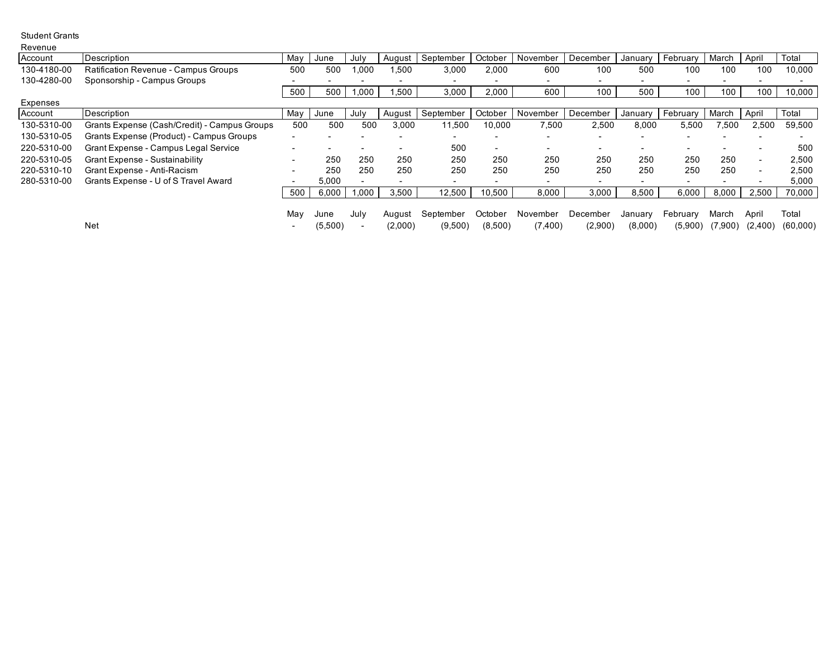Student Grants

| Revenue     |                                              |     |         |      |         |           |                          |                          |                          |                          |                          |         |         |          |
|-------------|----------------------------------------------|-----|---------|------|---------|-----------|--------------------------|--------------------------|--------------------------|--------------------------|--------------------------|---------|---------|----------|
| Account     | Description                                  | May | June    | July | August  | September | October                  | November                 | December                 | January                  | February                 | March   | April   | Total    |
| 130-4180-00 | <b>Ratification Revenue - Campus Groups</b>  | 500 | 500     | 000  | .500    | 3,000     | 2,000                    | 600                      | 100                      | 500                      | 100                      | 100     | 100     | 10,000   |
| 130-4280-00 | Sponsorship - Campus Groups                  |     |         |      |         |           |                          | $\overline{\phantom{0}}$ | $\overline{\phantom{0}}$ | $\overline{\phantom{a}}$ |                          |         |         |          |
|             |                                              | 500 | 500     | .000 | ,500    | 3,000     | 2,000                    | 600                      | 100                      | 500                      | 100                      | 100     | 100     | 10,000   |
| Expenses    |                                              |     |         |      |         |           |                          |                          |                          |                          |                          |         |         |          |
| Account     | Description                                  | May | June    | July | August  | September | October                  | November                 | December                 | January                  | February                 | March   | April   | Total    |
| 130-5310-00 | Grants Expense (Cash/Credit) - Campus Groups | 500 | 500     | 500  | 3,000   | 11,500    | 10,000                   | 7,500                    | 2,500                    | 8,000                    | 5,500                    | 7,500   | 2,500   | 59,500   |
| 130-5310-05 | Grants Expense (Product) - Campus Groups     |     |         |      |         |           |                          | $\overline{\phantom{a}}$ |                          |                          |                          |         |         |          |
| 220-5310-00 | Grant Expense - Campus Legal Service         |     |         |      |         | 500       | $\overline{\phantom{0}}$ | $\overline{\phantom{0}}$ | $\overline{\phantom{0}}$ | $\overline{\phantom{0}}$ |                          |         |         | 500      |
| 220-5310-05 | <b>Grant Expense - Sustainability</b>        |     | 250     | 250  | 250     | 250       | 250                      | 250                      | 250                      | 250                      | 250                      | 250     |         | 2,500    |
| 220-5310-10 | Grant Expense - Anti-Racism                  |     | 250     | 250  | 250     | 250       | 250                      | 250                      | 250                      | 250                      | 250                      | 250     |         | 2,500    |
| 280-5310-00 | Grants Expense - U of S Travel Award         |     | 5,000   |      |         |           |                          | $\overline{\phantom{a}}$ | $\overline{\phantom{0}}$ | $\overline{\phantom{a}}$ | $\overline{\phantom{0}}$ |         |         | 5,000    |
|             |                                              | 500 | 6,000   | 000. | 3,500   | 12,500    | 10,500                   | 8,000                    | 3,000                    | 8,500                    | 6,000                    | 8,000   | 2.500   | 70,000   |
|             |                                              |     |         |      |         |           |                          |                          |                          |                          |                          |         |         |          |
|             |                                              | Mav | June    | July | August  | September | October                  | November                 | December                 | January                  | February                 | March   | April   | Total    |
|             | Net                                          |     | (5,500) |      | (2,000) | (9,500)   | (8,500)                  | (7,400)                  | (2,900)                  | (8,000)                  | (5,900)                  | (7,900) | (2,400) | (60,000) |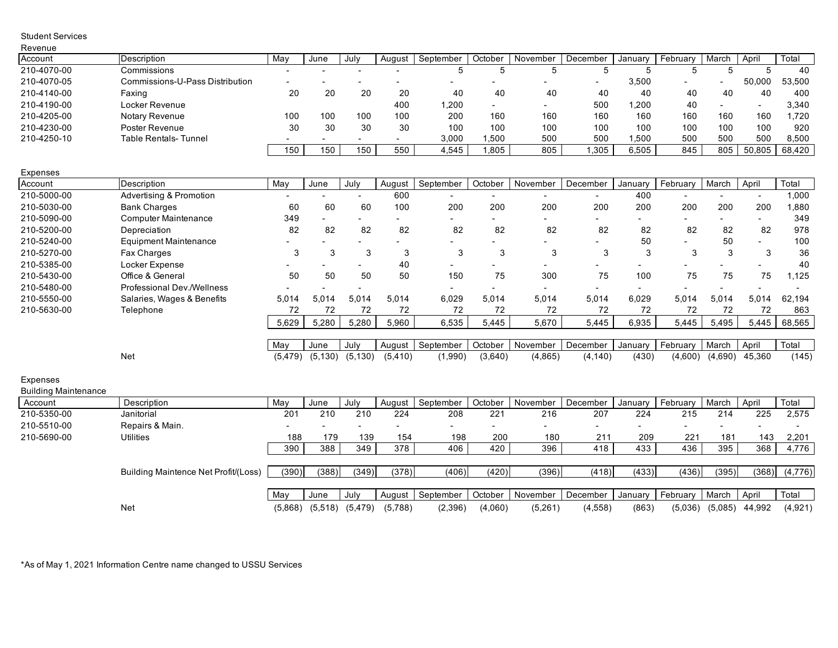| Revenue                                 |                                      |          |                     |                          |          |           |         |          |          |         |                          |                          |                |         |
|-----------------------------------------|--------------------------------------|----------|---------------------|--------------------------|----------|-----------|---------|----------|----------|---------|--------------------------|--------------------------|----------------|---------|
| Account                                 | Description                          | May      | June                | July                     | August   | September | October | November | December | January | February                 | March                    | April          | Total   |
| 210-4070-00                             | Commissions                          |          |                     |                          |          | 5         | 5       | 5        | 5        | 5       | 5                        | 5                        | $\sqrt{5}$     | 40      |
| 210-4070-05                             | Commissions-U-Pass Distribution      |          |                     | $\overline{\phantom{a}}$ |          |           |         |          |          | 3,500   |                          | $\overline{\phantom{a}}$ | 50,000         | 53,500  |
| 210-4140-00                             | Faxing                               | 20       | 20                  | 20                       | 20       | 40        | 40      | 40       | 40       | 40      | 40                       | 40                       | 40             | 400     |
| 210-4190-00                             | Locker Revenue                       |          |                     |                          | 400      | 1,200     |         |          | 500      | 1,200   | 40                       | $\overline{\phantom{a}}$ | $\blacksquare$ | 3,340   |
| 210-4205-00                             | Notary Revenue                       | 100      | 100                 | 100                      | 100      | 200       | 160     | 160      | 160      | 160     | 160                      | 160                      | 160            | 1,720   |
| 210-4230-00                             | Poster Revenue                       | 30       | 30                  | 30                       | 30       | 100       | 100     | 100      | 100      | 100     | 100                      | 100                      | 100            | 920     |
| 210-4250-10                             | <b>Table Rentals-Tunnel</b>          |          |                     | $\blacksquare$           |          | 3,000     | 1,500   | 500      | 500      | 1,500   | 500                      | 500                      | 500            | 8,500   |
|                                         |                                      | 150      | 150                 | 150                      | 550      | 4,545     | 1,805   | 805      | 1,305    | 6,505   | 845                      | 805                      | 50.805         | 68,420  |
| Expenses                                |                                      |          |                     |                          |          |           |         |          |          |         |                          |                          |                |         |
| Account                                 | Description                          | May      | June                | July                     | August   | September | October | November | December | January | February                 | March                    | April          | Total   |
| 210-5000-00                             | <b>Advertising &amp; Promotion</b>   |          |                     | $\blacksquare$           | 600      |           |         |          |          | 400     |                          |                          |                | 1,000   |
| 210-5030-00                             | <b>Bank Charges</b>                  | 60       | 60                  | 60                       | 100      | 200       | 200     | 200      | 200      | 200     | 200                      | 200                      | 200            | 1,880   |
| 210-5090-00                             | <b>Computer Maintenance</b>          | 349      |                     |                          |          |           |         |          |          |         |                          |                          |                | 349     |
| 210-5200-00                             | Depreciation                         | 82       | 82                  | 82                       | 82       | 82        | 82      | 82       | 82       | 82      | 82                       | 82                       | 82             | 978     |
| 210-5240-00                             | <b>Equipment Maintenance</b>         |          |                     |                          |          |           |         |          |          | 50      |                          | 50                       |                | 100     |
| 210-5270-00                             | Fax Charges                          | 3        | 3                   | 3                        | 3        | 3         | 3       | 3        | 3        | 3       | 3                        | 3                        | 3              | 36      |
| 210-5385-00                             | Locker Expense                       |          |                     | $\blacksquare$           | 40       |           |         | ä,       |          |         |                          |                          |                | 40      |
| 210-5430-00                             | Office & General                     | 50       | 50                  | 50                       | 50       | 150       | 75      | 300      | 75       | 100     | 75                       | 75                       | 75             | 1,125   |
| 210-5480-00                             | Professional Dev./Wellness           |          |                     |                          |          |           |         |          |          |         | $\overline{\phantom{a}}$ |                          |                |         |
| 210-5550-00                             | Salaries, Wages & Benefits           | 5,014    | 5,014               | 5,014                    | 5,014    | 6,029     | 5,014   | 5,014    | 5,014    | 6,029   | 5,014                    | 5,014                    | 5,014          | 62,194  |
| 210-5630-00                             | Telephone                            | 72       | 72                  | 72                       | 72       | 72        | 72      | 72       | 72       | 72      | 72                       | 72                       | 72             | 863     |
|                                         |                                      | 5,629    | 5,280               | 5,280                    | 5,960    | 6,535     | 5,445   | 5,670    | 5,445    | 6,935   | 5,445                    | 5,495                    | 5,445          | 68,565  |
|                                         |                                      | May      | June                | July                     | August   | September | October | November | December | January | February                 | March                    | April          | Total   |
|                                         | <b>Net</b>                           | (5, 479) | (5, 130)            | (5, 130)                 | (5, 410) | (1,990)   | (3,640) | (4,865)  | (4, 140) | (430)   | (4,600)                  | (4,690)                  | 45,360         | (145)   |
|                                         |                                      |          |                     |                          |          |           |         |          |          |         |                          |                          |                |         |
| Expenses<br><b>Building Maintenance</b> |                                      |          |                     |                          |          |           |         |          |          |         |                          |                          |                |         |
| Account                                 | Description                          | May      | June                | July                     | August   | September | October | November | December | January | February                 | March                    | April          | Total   |
| 210-5350-00                             | Janitorial                           | 201      | 210                 | 210                      | 224      | 208       | 221     | 216      | 207      | 224     | 215                      | 214                      | 225            | 2,575   |
| 210-5510-00                             | Repairs & Main.                      |          |                     |                          |          |           |         |          |          |         |                          |                          |                |         |
| 210-5690-00                             | Utilities                            | 188      | 179                 | 139                      | 154      | 198       | 200     | 180      | 211      | 209     | 221                      | 181                      | 143            | 2,201   |
|                                         |                                      | 390      | 388                 | 349                      | 378      | 406       | 420     | 396      | 418      | 433     | 436                      | 395                      | 368            | 4,776   |
|                                         |                                      |          |                     |                          |          |           |         |          |          |         |                          |                          |                |         |
|                                         | Building Maintence Net Profit/(Loss) | (390)    | (388)               | (349)                    | (378)    | (406)     | (420)   | (396)    | (418)    | (433)   | (436)                    | (395)                    | (368)          | (4,776) |
|                                         |                                      |          |                     |                          |          |           |         |          |          |         |                          |                          |                |         |
|                                         |                                      | May      | June                | July                     | August   | September | October | November | December | January | February                 | March                    | April          | Total   |
|                                         | <b>Net</b>                           |          | $(5,868)$ $(5,518)$ | (5, 479)                 | (5,788)  | (2,396)   | (4,060) | (5,261)  | (4, 558) | (863)   | (5,036)                  | (5,085)                  | 44,992         | (4,921) |

\*As of May 1, 2021 Information Centre name changed to USSU Services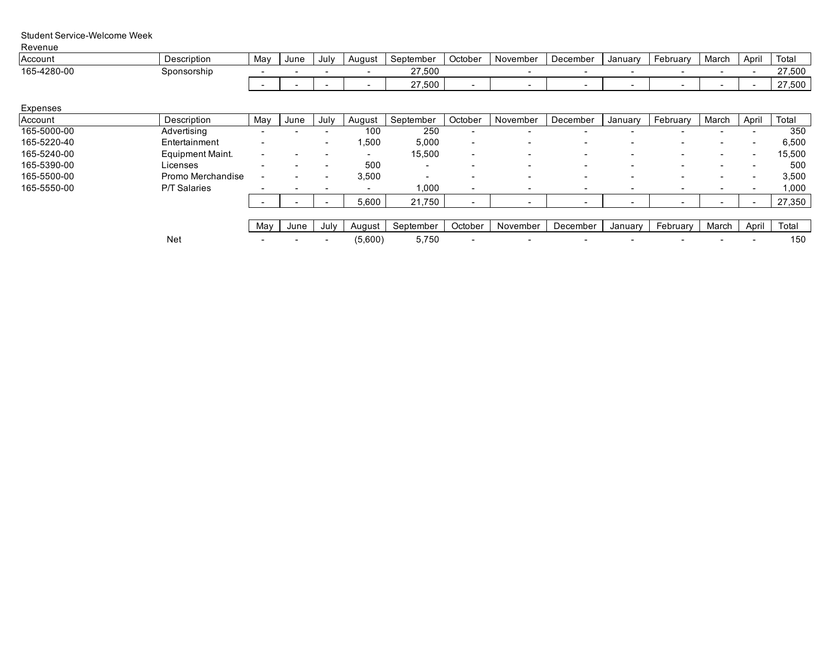### Student Service-Welcome Week

| Revenue     |             |     |      |      |        |           |         |          |          |         |          |       |       |        |
|-------------|-------------|-----|------|------|--------|-----------|---------|----------|----------|---------|----------|-------|-------|--------|
| Account     | Description | May | June | July | August | September | October | November | December | Januarv | February | March | Apri' | Tota.  |
| 165-4280-00 | Sponsorship |     |      |      |        | 27.500    |         |          |          |         |          |       |       | 27,500 |
|             |             |     |      |      |        | 27,500    |         |          |          |         |          |       |       | 7.500  |

Expenses

| .           |                     |                          |      |                          |                          |                          |                          |                          |                          |                          |                          |                          |                          |        |
|-------------|---------------------|--------------------------|------|--------------------------|--------------------------|--------------------------|--------------------------|--------------------------|--------------------------|--------------------------|--------------------------|--------------------------|--------------------------|--------|
| Account     | Description         | May                      | June | July                     | August                   | September                | October                  | November                 | December                 | January                  | February                 | March                    | April                    | Total  |
| 165-5000-00 | Advertising         |                          |      |                          | 100                      | 250                      | -                        |                          | $\overline{\phantom{0}}$ |                          | -                        |                          |                          | 350    |
| 165-5220-40 | Entertainment       |                          |      |                          | 500. ا                   | 5,000                    | $\overline{\phantom{a}}$ |                          |                          |                          |                          |                          |                          | 6,500  |
| 165-5240-00 | Equipment Maint.    | $\overline{\phantom{0}}$ |      |                          | $\overline{\phantom{0}}$ | 15,500                   | $\overline{\phantom{a}}$ | $\overline{\phantom{0}}$ | $\,$                     |                          | $\overline{\phantom{a}}$ | $\sim$                   | $\overline{\phantom{a}}$ | 15,500 |
| 165-5390-00 | Licenses            |                          |      |                          | 500                      | $\overline{\phantom{0}}$ |                          | -                        | $\overline{\phantom{0}}$ |                          | -                        | $\sim$                   |                          | 500    |
| 165-5500-00 | Promo Merchandise   |                          |      |                          | 3,500                    | $\overline{\phantom{0}}$ |                          |                          | $\,$                     |                          | $\overline{\phantom{a}}$ | $\overline{\phantom{0}}$ |                          | 3,500  |
| 165-5550-00 | <b>P/T Salaries</b> |                          |      | $\overline{\phantom{a}}$ | $\overline{\phantom{0}}$ | 1,000                    |                          |                          | $\overline{\phantom{a}}$ | $\overline{\phantom{a}}$ | $\overline{\phantom{a}}$ |                          |                          | 1,000  |
|             |                     |                          |      |                          | 5,600                    | 21,750                   |                          |                          |                          |                          |                          |                          |                          | 27,350 |
|             |                     |                          |      |                          |                          |                          |                          |                          |                          |                          |                          |                          |                          |        |
|             |                     | Mav                      | June | July                     | August                   | September                | October                  | November                 | December                 | January                  | February                 | March                    | April                    | Total  |
|             | <b>Net</b>          |                          |      |                          | (5,600)                  | 5,750                    |                          | $\overline{\phantom{0}}$ | $\,$                     |                          |                          |                          |                          | 150    |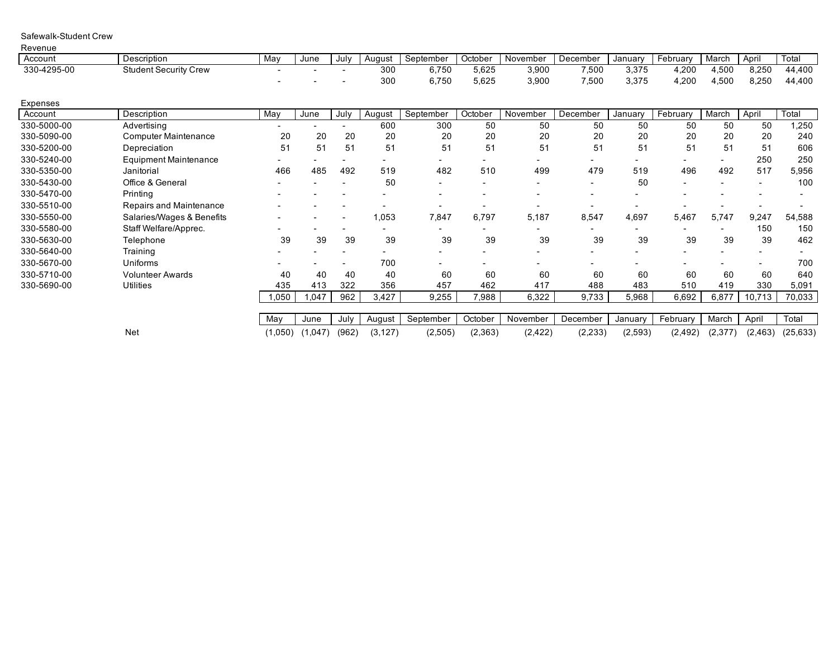| Revenue     |                              |         |         |                              |          |           |         |          |          |          |          |         |          |           |
|-------------|------------------------------|---------|---------|------------------------------|----------|-----------|---------|----------|----------|----------|----------|---------|----------|-----------|
| Account     | Description                  | May     | June    | July                         | August   | September | October | November | December | January  | February | March   | April    | Total     |
| 330-4295-00 | <b>Student Security Crew</b> |         |         |                              | 300      | 6,750     | 5,625   | 3,900    | 7,500    | 3,375    | 4,200    | 4,500   | 8,250    | 44,400    |
|             |                              |         |         |                              | 300      | 6,750     | 5,625   | 3,900    | 7,500    | 3,375    | 4,200    | 4,500   | 8,250    | 44,400    |
| Expenses    |                              |         |         |                              |          |           |         |          |          |          |          |         |          |           |
| Account     | Description                  | May     | June    | July                         | August   | September | October | November | December | January  | February | March   | April    | Total     |
| 330-5000-00 | Advertisina                  |         |         |                              | 600      | 300       | 50      | 50       | 50       | 50       | 50       | 50      | 50       | .250      |
| 330-5090-00 | <b>Computer Maintenance</b>  | 20      | 20      | 20                           | 20       | 20        | 20      | 20       | 20       | 20       | 20       | 20      | 20       | 240       |
| 330-5200-00 | Depreciation                 | 51      | 51      | 51                           | 51       | 51        | 51      | 51       | 51       | 51       | 51       | 51      | 51       | 606       |
| 330-5240-00 | <b>Equipment Maintenance</b> |         |         |                              |          |           |         |          |          |          |          |         | 250      | 250       |
| 330-5350-00 | Janitorial                   | 466     | 485     | 492                          | 519      | 482       | 510     | 499      | 479      | 519      | 496      | 492     | 517      | 5,956     |
| 330-5430-00 | Office & General             |         |         |                              | 50       |           |         |          |          | 50       | ٠        |         |          | 100       |
| 330-5470-00 | Printing                     |         |         |                              |          |           |         |          | -        |          |          |         |          |           |
| 330-5510-00 | Repairs and Maintenance      |         |         | $\qquad \qquad \blacksquare$ |          |           |         |          |          |          |          |         |          |           |
| 330-5550-00 | Salaries/Wages & Benefits    |         |         | $\overline{\phantom{a}}$     | 1,053    | 7,847     | 6,797   | 5,187    | 8,547    | 4,697    | 5,467    | 5,747   | 9,247    | 54,588    |
| 330-5580-00 | Staff Welfare/Apprec.        |         |         |                              |          |           |         |          |          |          |          |         | 150      | 150       |
| 330-5630-00 | Telephone                    | 39      | 39      | 39                           | 39       | 39        | 39      | 39       | 39       | 39       | 39       | 39      | 39       | 462       |
| 330-5640-00 | Training                     |         |         |                              |          |           |         |          |          |          |          |         |          |           |
| 330-5670-00 | Uniforms                     |         |         |                              | 700      |           |         |          |          |          |          |         |          | 700       |
| 330-5710-00 | <b>Volunteer Awards</b>      | 40      | 40      | 40                           | 40       | 60        | 60      | 60       | 60       | 60       | 60       | 60      | 60       | 640       |
| 330-5690-00 | <b>Utilities</b>             | 435     | 413     | 322                          | 356      | 457       | 462     | 417      | 488      | 483      | 510      | 419     | 330      | 5,091     |
|             |                              | 1,050   | 1,047   | 962                          | 3,427    | 9,255     | 7,988   | 6,322    | 9,733    | 5,968    | 6,692    | 6,877   | 10,713   | 70,033    |
|             |                              |         |         |                              |          |           |         |          |          |          |          |         |          |           |
|             |                              | May     | June    | July                         | August   | September | October | November | December | January  | February | March   | April    | Total     |
|             | <b>Net</b>                   | (1,050) | (1,047) | (962)                        | (3, 127) | (2,505)   | (2,363) | (2, 422) | (2, 233) | (2, 593) | (2, 492) | (2,377) | (2, 463) | (25, 633) |

Safewalk-Student Crew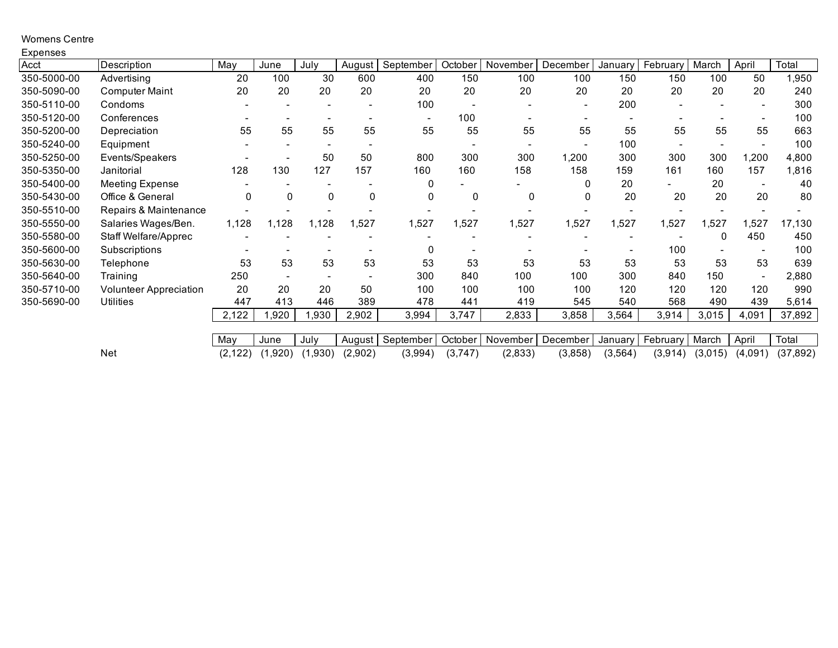### Womens Centre

| Expenses    |                               |          |                          |         |             |           |         |          |          |          |                |         |                          |           |
|-------------|-------------------------------|----------|--------------------------|---------|-------------|-----------|---------|----------|----------|----------|----------------|---------|--------------------------|-----------|
| Acct        | Description                   | May      | June                     | July    | August      | September | October | November | December | January  | February       | March   | April                    | Total     |
| 350-5000-00 | Advertising                   | 20       | 100                      | 30      | 600         | 400       | 150     | 100      | 100      | 150      | 150            | 100     | 50                       | 950, ا    |
| 350-5090-00 | <b>Computer Maint</b>         | 20       | 20                       | 20      | 20          | 20        | 20      | 20       | 20       | 20       | 20             | 20      | 20                       | 240       |
| 350-5110-00 | Condoms                       |          |                          |         |             | 100       |         |          |          | 200      |                |         |                          | 300       |
| 350-5120-00 | Conferences                   |          |                          |         |             | ٠         | 100     |          |          |          |                |         |                          | 100       |
| 350-5200-00 | Depreciation                  | 55       | 55                       | 55      | 55          | 55        | 55      | 55       | 55       | 55       | 55             | 55      | 55                       | 663       |
| 350-5240-00 | Equipment                     |          |                          |         |             |           |         |          |          | 100      | $\blacksquare$ |         |                          | 100       |
| 350-5250-00 | Events/Speakers               |          | ۰                        | 50      | 50          | 800       | 300     | 300      | 1,200    | 300      | 300            | 300     | ,200                     | 4,800     |
| 350-5350-00 | Janitorial                    | 128      | 130                      | 127     | 157         | 160       | 160     | 158      | 158      | 159      | 161            | 160     | 157                      | 1,816     |
| 350-5400-00 | <b>Meeting Expense</b>        |          |                          |         |             | 0         |         |          | 0        | 20       |                | 20      | $\overline{\phantom{a}}$ | 40        |
| 350-5430-00 | Office & General              | 0        | 0                        | 0       | $\mathbf 0$ | 0         | 0       | 0        |          | 20       | 20             | 20      | 20                       | 80        |
| 350-5510-00 | Repairs & Maintenance         |          |                          |         |             |           |         |          |          |          |                |         |                          |           |
| 350-5550-00 | Salaries Wages/Ben.           | 1,128    | 1,128                    | 1,128   | 1,527       | 1,527     | 1,527   | 1,527    | 1,527    | 1,527    | 1,527          | 1,527   | 527,                     | 17,130    |
| 350-5580-00 | Staff Welfare/Apprec          |          |                          |         |             |           |         |          |          |          |                | 0       | 450                      | 450       |
| 350-5600-00 | Subscriptions                 |          |                          |         |             | 0         |         |          |          |          | 100            |         |                          | 100       |
| 350-5630-00 | Telephone                     | 53       | 53                       | 53      | 53          | 53        | 53      | 53       | 53       | 53       | 53             | 53      | 53                       | 639       |
| 350-5640-00 | Training                      | 250      | $\overline{\phantom{a}}$ |         |             | 300       | 840     | 100      | 100      | 300      | 840            | 150     |                          | 2,880     |
| 350-5710-00 | <b>Volunteer Appreciation</b> | 20       | 20                       | 20      | 50          | 100       | 100     | 100      | 100      | 120      | 120            | 120     | 120                      | 990       |
| 350-5690-00 | <b>Utilities</b>              | 447      | 413                      | 446     | 389         | 478       | 441     | 419      | 545      | 540      | 568            | 490     | 439                      | 5,614     |
|             |                               | 2,122    | ,920                     | ,930    | 2,902       | 3,994     | 3,747   | 2,833    | 3,858    | 3,564    | 3,914          | 3,015   | 4,091                    | 37,892    |
|             |                               |          |                          |         |             |           |         |          |          |          |                |         |                          |           |
|             |                               | May      | June                     | July    | August      | September | October | November | December | Januarv  | February       | March   | April                    | Total     |
|             | <b>Net</b>                    | (2, 122) | (1,920)                  | (1,930) | (2,902)     | (3,994)   | (3,747) | (2,833)  | (3,858)  | (3, 564) | (3, 914)       | (3,015) | (4,091)                  | (37, 892) |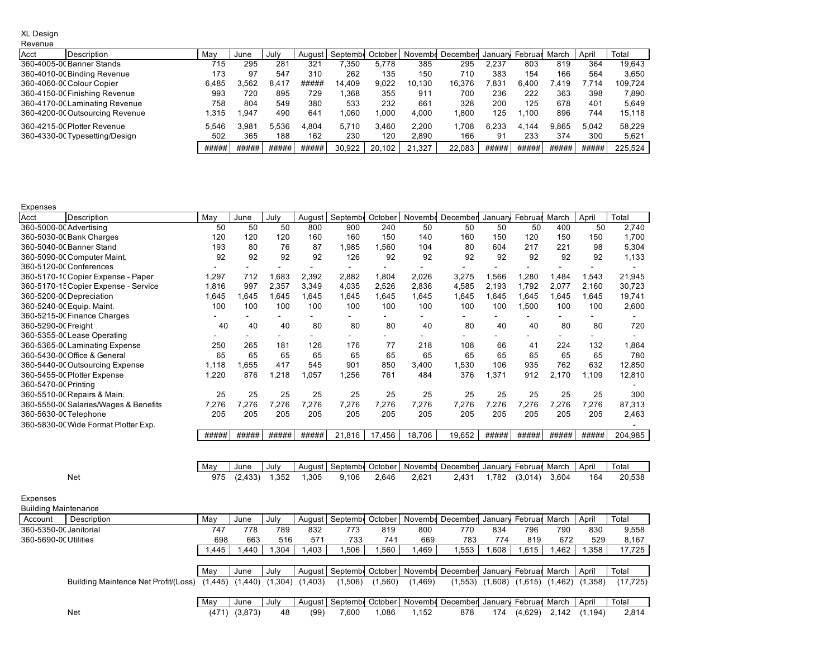#### XL Design

#### Revenue

| Acct | Description                     | May   | June  | July  | August | Septembr | October | Novembe | December | January         | Februar March |       | April | Total   |
|------|---------------------------------|-------|-------|-------|--------|----------|---------|---------|----------|-----------------|---------------|-------|-------|---------|
|      | 360-4005-00 Banner Stands       | 715   | 295   | 281   | 321    | .350     | 5.778   | 385     | 295      | 2.237           | 803           | 819   | 364   | 19.643  |
|      | 360-4010-00 Binding Revenue     | 173   | 97    | 547   | 310    | 262      | 135     | 150     | 710      | 383             | 154           | 166   | 564   | 3,650   |
|      | 360-4060-00 Colour Copier       | 6.485 | 3.562 | 8.417 | #####  | 14.409   | 9.022   | 10.130  | 16.376   | $^{\prime}.831$ | 6.400         | 7.419 | 7.714 | 109.724 |
|      | 360-4150-00 Finishing Revenue   | 993   | 720   | 895   | 729    | .368     | 355     | 911     | 700      | 236             | 222           | 363   | 398   | 7,890   |
|      | 360-4170-00 Laminating Revenue  | 758   | 804   | 549   | 380    | 533      | 232     | 661     | 328      | 200             | 125           | 678   | 401   | 5.649   |
|      | 360-4200-00 Outsourcing Revenue | .315  | .947  | 490   | 641    | 1.060    | .000    | 4.000   | .800     | 125             | .100          | 896   | 744   | 15,118  |
|      | 360-4215-00 Plotter Revenue     | 5.546 | 3.981 | 5.536 | 4.804  | 5.710    | 3.460   | 2.200   | 1.708    | 6.233           | 4.144         | 9.865 | 5.042 | 58.229  |
|      | 360-4330-00 Typesetting/Design  | 502   | 365   | 188   | 162    | 230      | 120     | 2.890   | 166      | 91              | 233           | 374   | 300   | 5,621   |
|      |                                 | ##### | ##### | ##### | #####  | 30.922   | 20.102  | 21.327  | 22.083   | #####           | #####         | ##### | ##### | 225.524 |

Expenses

| Acct                    | Description                           | May   | June     | July  | August |         |         |         | Septembe October   Novembe December | January | Februar                  | March | April | Total   |
|-------------------------|---------------------------------------|-------|----------|-------|--------|---------|---------|---------|-------------------------------------|---------|--------------------------|-------|-------|---------|
| 360-5000-00 Advertising |                                       | 50    | 50       | 50    | 800    | 900     | 240     | 50      | 50                                  | 50      | 50                       | 400   | 50    | 2,740   |
|                         | 360-5030-00 Bank Charges              | 120   | 120      | 120   | 160    | 160     | 150     | 140     | 160                                 | 150     | 120                      | 150   | 150   | 1.700   |
|                         | 360-5040-00 Banner Stand              | 193   | 80       | 76    | 87     | 1,985   | 1.560   | 104     | 80                                  | 604     | 217                      | 221   | 98    | 5,304   |
|                         | 360-5090-00 Computer Maint.           | 92    | 92       | 92    | 92     | 126     | 92      | 92      | 92                                  | 92      | 92                       | 92    | 92    | 1,133   |
|                         | 360-5120-00 Conferences               |       |          |       |        |         |         |         |                                     |         |                          |       |       |         |
|                         | 360-5170-10 Copier Expense - Paper    | 1,297 | 712      | 1,683 | 2,392  | 2,882   | 1.804   | 2,026   | 3,275                               | 1,566   | ,280                     | 1,484 | 1.543 | 21,945  |
|                         | 360-5170-15 Copier Expense - Service  | 1,816 | 997      | 2,357 | 3,349  | 4,035   | 2,526   | 2,836   | 4,585                               | 2,193   | 1,792                    | 2,077 | 2,160 | 30,723  |
|                         | 360-5200-00 Depreciation              | 1,645 | 1.645    | 1,645 | 1.645  | 1,645   | 1.645   | 1,645   | 1,645                               | 1,645   | 1,645                    | 1,645 | 1,645 | 19,741  |
|                         | 360-5240-00 Equip. Maint.             | 100   | 100      | 100   | 100    | 100     | 100     | 100     | 100                                 | 100     | 1,500                    | 100   | 100   | 2,600   |
|                         | 360-5215-00 Finance Charges           |       |          |       |        |         |         | ۰       | $\overline{\phantom{a}}$            |         | $\overline{\phantom{0}}$ | ۰.    |       |         |
| 360-5290-0C Freiaht     |                                       | 40    | 40       | 40    | 80     | 80      | 80      | 40      | 80                                  | 40      | 40                       | 80    | 80    | 720     |
|                         | 360-5355-00 Lease Operating           |       |          |       |        |         |         |         |                                     |         |                          |       |       |         |
|                         | 360-5365-00 Laminating Expense        | 250   | 265      | 181   | 126    | 176     | 77      | 218     | 108                                 | 66      | 41                       | 224   | 132   | 1,864   |
|                         | 360-5430-00 Office & General          | 65    | 65       | 65    | 65     | 65      | 65      | 65      | 65                                  | 65      | 65                       | 65    | 65    | 780     |
|                         | 360-5440-00 Outsourcing Expense       | 1,118 | 1.655    | 417   | 545    | 901     | 850     | 3,400   | 1,530                               | 106     | 935                      | 762   | 632   | 12,850  |
|                         | 360-5455-00 Plotter Expense           | 1,220 | 876      | 1,218 | 1,057  | 1.256   | 761     | 484     | 376                                 | 1,371   | 912                      | 2,170 | 1,109 | 12,810  |
| 360-5470-00 Printing    |                                       |       |          |       |        |         |         |         |                                     |         |                          |       |       |         |
|                         | 360-5510-00 Repairs & Main.           | 25    | 25       | 25    | 25     | 25      | 25      | 25      | 25                                  | 25      | 25                       | 25    | 25    | 300     |
|                         | 360-5550-00 Salaries/Wages & Benefits | 7,276 | 7,276    | 7,276 | 7,276  | 7,276   | 7,276   | 7,276   | 7,276                               | 7,276   | 7,276                    | 7,276 | 7,276 | 87,313  |
| 360-5630-0C Telephone   |                                       | 205   | 205      | 205   | 205    | 205     | 205     | 205     | 205                                 | 205     | 205                      | 205   | 205   | 2,463   |
|                         | 360-5830-00 Wide Format Plotter Exp.  |       |          |       |        |         |         |         |                                     |         |                          |       |       |         |
|                         |                                       | ##### | #####    | ##### | #####  | 21,816  | 17,456  | 18.706  | 19,652                              | #####   | #####                    | ##### | ##### | 204,985 |
|                         |                                       |       |          |       |        |         |         |         |                                     |         |                          |       |       |         |
|                         |                                       |       |          |       |        |         |         |         |                                     |         |                          |       |       |         |
|                         |                                       | May   | June     | July  | August | Septemb | October | Novembe | December                            | January | Februar                  | March | April | Total   |
|                         | Net                                   | 975   | (2, 433) | 1,352 | 1,305  | 9,106   | 2,646   | 2,621   | 2,431                               | 1,782   | (3,014)                  | 3,604 | 164   | 20,538  |

Expenses

| <b>Building Maintenance</b> |                                      |         |         |       |          |                  |         |          |                  |         |               |          |          |           |
|-----------------------------|--------------------------------------|---------|---------|-------|----------|------------------|---------|----------|------------------|---------|---------------|----------|----------|-----------|
| Account                     | Description                          | May     | June    | July  | August   | Septembe October |         | Novembe  | December January |         | Februar March |          | April    | Total     |
| 360-5350-00 Janitorial      |                                      | 747     | 778     | 789   | 832      | 773              | 819     | 800      | 770              | 834     | 796           | 790      | 830      | 9,558     |
| 360-5690-00 Utilities       |                                      | 698     | 663     | 516   | 571      | 733              | 741     | 669      | 783              | 774     | 819           | 672      | 529      | 8,167     |
|                             |                                      | .445    | .440    | .304  | ,403     | .506             | .560    | .469     | .553             | .608    | .615          | .462     | .358     | 17,725    |
|                             |                                      |         |         |       |          |                  |         |          |                  |         |               |          |          |           |
|                             |                                      | May     | June    | July  | August   | Septembl October |         | Novembe  | December January |         | Februar March |          | April    | Total     |
|                             | Building Maintence Net Profit/(Loss) | (1,445) | (1.440) | ,304) | (.403)   | (1,506)          | (1,560) | (1, 469) | (1,553)          | (1,608) | (1,615)       | (1, 462) | (1,358)  | (17, 725) |
|                             |                                      |         |         |       |          |                  |         |          |                  |         |               |          |          |           |
|                             |                                      | May     | June    | July  | August I | Septembe         | October | Novembe  | December January |         | Februar March |          | April    | Total     |
|                             | Net                                  | (471    | (3,873) | 48    | (99)     | 7.600            | .086    | .152     | 878              | 174     | (4,629)       | 2.142    | (1, 194) | 2.814     |